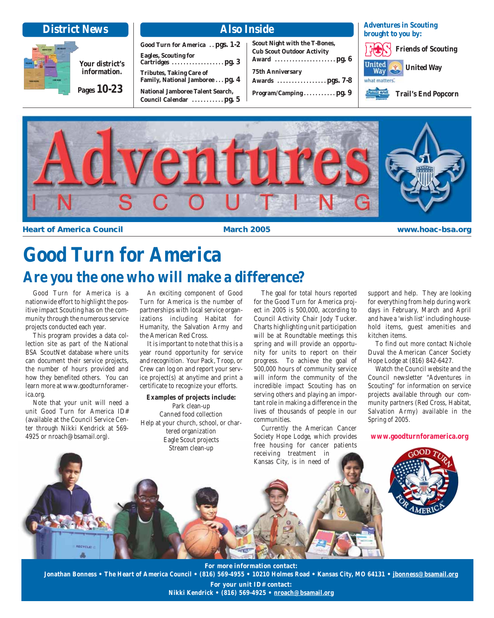| <b>District News</b>                           |                                                                                                                                                                                                            | <b>Also Inside</b>                                                                                                           | <b>Adventures in Scouting</b><br>brought to you by:                                                      |
|------------------------------------------------|------------------------------------------------------------------------------------------------------------------------------------------------------------------------------------------------------------|------------------------------------------------------------------------------------------------------------------------------|----------------------------------------------------------------------------------------------------------|
| Your district's<br>information.<br>Pages 10-23 | Good Turn for America  pgs. 1-2<br><b>Eagles, Scouting for</b><br><b>Tributes, Taking Care of</b><br>Family, National Jamboree pg. 4<br><b>National Jamboree Talent Search,</b><br>Council Calendar  pg. 5 | <b>Scout Night with the T-Bones,</b><br><b>Cub Scout Outdoor Activity</b><br><b>75th Anniversary</b><br>Program/Campingpg. 9 | <b>Friends of Scouting</b><br>United<br><b>United Way</b><br>what matters.<br><b>Trail's End Popcorn</b> |



**Heart of America Council <b>the Council March 2005 www.hoac-bsa.org** 

# **Good Turn for America Are you the one who will make a difference?**

Good Turn for America is a nationwide effort to highlight the positive impact Scouting has on the community through the numerous service projects conducted each year.

This program provides a data collection site as part of the National BSA ScoutNet database where units can document their service projects, the number of hours provided and how they benefited others. You can learn more at www.goodturnforamerica.org.

Note that your unit will need a unit Good Turn for America ID# (available at the Council Service Center through Nikki Kendrick at 569- 4925 or nroach@bsamail.org).

An exciting component of Good Turn for America is the number of partnerships with local service organizations including Habitat for Humanity, the Salvation Army and the American Red Cross.

It is important to note that this is a year round opportunity for service and recognition. Your Pack, Troop, or Crew can log on and report your service project(s) at anytime and print a certificate to recognize your efforts.

#### **Examples of projects include:**

Park clean-up Canned food collection Help at your church, school, or chartered organization Eagle Scout projects Stream clean-up

The goal for total hours reported for the Good Turn for America project in 2005 is 500,000, according to Council Activity Chair Jody Tucker. Charts highlighting unit participation will be at Roundtable meetings this spring and will provide an opportunity for units to report on their progress. To achieve the goal of 500,000 hours of community service will inform the community of the incredible impact Scouting has on serving others and playing an important role in making a difference in the lives of thousands of people in our communities.

Currently the American Cancer Society Hope Lodge, which provides free housing for cancer patients receiving treatment in Kansas City, is in need of

support and help. They are looking for everything from help during work days in February, March and April and have a 'wish list' including household items, guest amenities and kitchen items.

To find out more contact Nichole Duval the American Cancer Society Hope Lodge at (816) 842-6427.

Watch the Council website and the Council newsletter "Adventures in Scouting" for information on service projects available through our community partners (Red Cross, Habitat, Salvation Army) available in the Spring of 2005.

**www.goodturnforamerica.org**



**For more information contact: Jonathan Bonness • The Heart of America Council • (816) 569-4955 • 10210 Holmes Road • Kansas City, MO 64131 • jbonness@bsamail.org**

> **For your unit ID# contact: Nikki Kendrick • (816) 569-4925 • nroach@bsamail.org**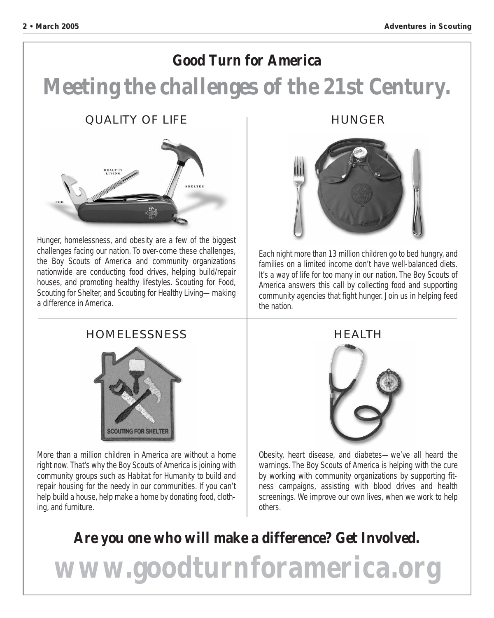## **Good Turn for America**

# **Meeting the challenges of the 21st Century.**

#### QUALITY OF LIFE



Hunger, homelessness, and obesity are a few of the biggest challenges facing our nation. To over-come these challenges, the Boy Scouts of America and community organizations nationwide are conducting food drives, helping build/repair houses, and promoting healthy lifestyles. Scouting for Food, Scouting for Shelter, and Scouting for Healthy Living—making a difference in America.

#### HUNGER



Each night more than 13 million children go to bed hungry, and families on a limited income don't have well-balanced diets. It's a way of life for too many in our nation. The Boy Scouts of America answers this call by collecting food and supporting community agencies that fight hunger. Join us in helping feed the nation.

#### HOMELESSNESS



More than a million children in America are without a home right now. That's why the Boy Scouts of America is joining with community groups such as Habitat for Humanity to build and repair housing for the needy in our communities. If you can't help build a house, help make a home by donating food, clothing, and furniture.



Obesity, heart disease, and diabetes—we've all heard the warnings. The Boy Scouts of America is helping with the cure by working with community organizations by supporting fitness campaigns, assisting with blood drives and health screenings. We improve our own lives, when we work to help others.

# **Are you one who will make a difference? Get Involved.**

**www.goodturnforamerica.org**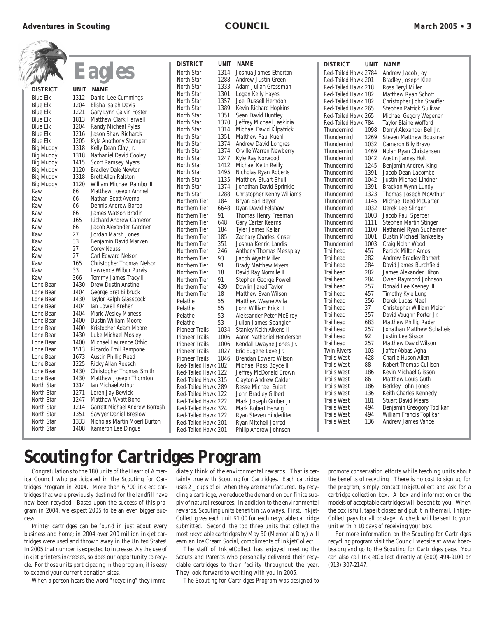**Adventures in Scouting example 2005 example 2005 council in Scouting COUNCIL Example 2005 c** 2005 **c** 3

|                   |             |                                | <b>DISTRICT</b>       | <b>UNIT</b> | <b>NAME</b>                  | <b>DISTRICT</b>      | <b>UNIT</b> | <b>NAME</b>                     |
|-------------------|-------------|--------------------------------|-----------------------|-------------|------------------------------|----------------------|-------------|---------------------------------|
|                   |             | <b>Eagles</b>                  | North Star            | 1314        | Joshua James Etherton        | Red-Tailed Hawk 2784 |             | Andrew Jacob Joy                |
|                   |             |                                | North Star            | 1288        | Andrew Justin Green          | Red-Tailed Hawk 201  |             | <b>Bradley Joseph Klee</b>      |
| <b>DISTRICT</b>   |             | <b>NAME</b>                    | North Star            | 1333        | Adam Julian Grossman         | Red-Tailed Hawk 218  |             | Ross Teryl Miller               |
|                   | <b>UNIT</b> |                                | North Star            | 1301        | Logan Kelly Hayes            | Red-Tailed Hawk 182  |             | Matthew Ryan Schott             |
| <b>Blue Elk</b>   | 1312        | Daniel Lee Cummings            | North Star            | 1357        | Joel Russell Herndon         | Red-Tailed Hawk 182  |             | Christopher John Stauffer       |
| <b>Blue Elk</b>   | 1204        | Elisha Isaiah Davis            | North Star            | 1389        | Kevin Richard Hopkins        | Red-Tailed Hawk 265  |             | Stephen Patrick Sullivan        |
| <b>Blue Elk</b>   | 1221        | Gary Lynn Galvin Foster        | North Star            | 1351        | Sean David Huntley           | Red-Tailed Hawk 265  |             | Michael Gegory Wegener          |
| <b>Blue Elk</b>   | 1813        | <b>Matthew Clark Harwell</b>   | North Star            | 1370        | Jeffrey Michael Jaskinia     | Red-Tailed Hawk 784  |             | Taylor Blaine Wofford           |
| <b>Blue Elk</b>   | 1204        | Randy Micheal Pyles            | North Star            | 1314        | Michael David Kilpatrick     | Thundernird          | 1098        | Darryl Alexander Bell Jr.       |
| <b>Blue Elk</b>   | 1216        | Jason Shaw Richards            | North Star            | 1351        | Matthew Paul Kuehl           | Thundernird          | 1269        | Steven Matthew Bousman          |
| <b>Blue Elk</b>   | 1205        | Kyle Anothony Stamper          | North Star            | 1374        | Andrew David Longres         | Thundernird          | 1032        | Cameron Bily Bravo              |
| <b>Big Muddy</b>  | 1318        | Kelly Dean Clay Jr.            | North Star            | 1374        | Orville Warren Newberry      | Thundernird          | 1469        | Nolan Ryan Christensen          |
| <b>Big Muddy</b>  | 1318        | Nathaniel David Cooley         | North Star            | 1247        | Kyle Ray Norwood             | Thundernird          | 1042        | Austin James Holt               |
| <b>Big Muddy</b>  | 1415        | <b>Scott Ramsey Myers</b>      | North Star            | 1412        | Michael Keith Reilly         | Thundernird          | 1245        | Benjamin Andrew King            |
| <b>Big Muddy</b>  | 1120        | <b>Bradley Dale Newton</b>     | North Star            | 1495        | Nicholas Ryan Roberts        | Thundernird          | 1391        | Jacob Dean Lacombe              |
| <b>Big Muddy</b>  | 1318        | <b>Brett Allen Ralston</b>     | North Star            | 1135        | <b>Matthew Stuart Shull</b>  | Thundernird          | 1042        | Justin Michael Lindner          |
| <b>Big Muddy</b>  | 1120        | William Michael Rambo III      | North Star            | 1374        | Jonathan David Sprinkle      | Thundernird          | 1391        | Brackon Wynn Lundy              |
| Kaw               | 66          | Matthew Joseph Ammel           | North Star            | 1288        | Christopher Kenny Williams   | Thundernird          | 1323        | Thomas Joseph McArthur          |
| Kaw               | 66          | Nathan Scott Averna            | Northern Tier         | 184         | Bryan Earl Beyer             | Thundernird          | 1145        | Michael Reed McCarter           |
| Kaw               | 66          | Dennis Andrew Barba            | Northern Tier         | 6648        | Ryan David Felshaw           | Thundernird          | 1032        | Derek Lee Slinger               |
| Kaw               | 66          | James Watson Bradin            | Northern Tier         | 91          | Thomas Henry Freeman         | Thundernird          | 1003        | Jacob Paul Sperber              |
| Kaw               | 165         | <b>Richard Andrew Cameron</b>  | Northern Tier         | 648         | Gary Carter Kearns           | Thundernird          | 1111        | Stephen Martin Stinger          |
| Kaw               | 66          | Jacob Alexander Gardner        | Northern Tier         | 184         | Tyler James Kellar           | Thundernird          | 1100        | Nathaniel Ryan Sudheimer        |
| Kaw               | 27          | Jordan Marsh Jones             | Northern Tier         | 185         | Zachary Charles Kinser       | Thundernird          | 1001        | <b>Dustin Michael Tankesley</b> |
| Kaw               | 33          | Benjamin David Marken          | Northern Tier         | 351         | Joshua Kenric Landis         | Thundernird          | 1003        | Craig Nolan Wood                |
| Kaw               | 27          | <b>Corey Nauss</b>             | Northern Tier         | 246         | Anthony Thomas Messplay      | Trailhead            | 457         | <b>Partick Milton Amos</b>      |
| Kaw               | 27          | Carl Edward Nelson             | Northern Tier         | 93          | Jacob Wyatt Miller           | Trailhead            | 282         | <b>Andrew Bradley Barnert</b>   |
| Kaw               | 165         | Christopher Thomas Nelson      | Northern Tier         | 91          | <b>Brady Matthew Myers</b>   | Trailhead            | 284         | David James Burchfield          |
| Kaw               | 33          | Lawrence Wilbur Purvis         | Northern Tier         | 18          | David Ray Normile II         | Trailhead            | 282         | James Alexander Hilton          |
| Kaw               | 366         | Tommy James Tracy II           | Northern Tier         | 91          | Stephen George Powell        | Trailhead            | 284         | Owen Raymond Johnson            |
| Lone Bear         | 1430        | Drew Dustin Anstine            | Northern Tier         | 439         | Dowlin Jared Taylor          | Trailhead            | 257         | Donald Lee Keeney III           |
| Lone Bear         | 1404        | George Bret Bilbruck           | Northern Tier         | 18          | Matthew Evan Wilson          | Trailhead            | 457         | Timothy Kyle Lung               |
| Lone Bear         | 1430        | Taylor Ralph Glasscock         | Pelathe               | 55          | Matthew Wayne Avila          | Trailhead            | 256         | Derek Lucas Mael                |
| Lone Bear         | 1404        | lan Lowell Kreher              | Pelathe               | 55          | John William Frick II        | Trailhead            | 37          | Christopher William Meier       |
| Lone Bear         | 1404        | Mark Wesley Maness             | Pelathe               | 53          | Aleksander Peter McElroy     | Trailhead            | 257         | David Vaughn Porter Jr.         |
| Lone Bear         | 1400        | <b>Dustin William Moore</b>    | Pelathe               | 53          | Julian James Spangler        | Trailhead            | 683         | Matthew Phillip Rader           |
| Lone Bear         | 1400        | Kristopher Adam Moore          | <b>Pioneer Trails</b> | 1034        | Stanley Keith Aikens II      | Trailhead            | 257         | Jonathan Matthew Schalteis      |
| Lone Bear         | 1430        | Luke Michael Mosley            | <b>Pioneer Trails</b> | 1006        | Aaron Nathaniel Henderson    | Trailhead            | 92          | Justin Lee Sisson               |
| Lone Bear         | 1400        | Michael Laurence Othic         | <b>Pioneer Trails</b> | 1006        | Kendall Dwayne Jones Jr.     | Trailhead            | 257         | <b>Matthew David Wilson</b>     |
| Lone Bear         | 1513        | Ricardo Emil Rampone           | <b>Pioneer Trails</b> | 1027        | Eric Eugene Love Jr.         | <b>Twin Rivers</b>   | 103         | Jaffar Abbas Agha               |
| Lone Bear         | 1673        | Austin Phillip Reed            | <b>Pioneer Trails</b> | 1046        | <b>Brendan Edward Wilson</b> | <b>Trails West</b>   | 428         | Charlie Huson Allen             |
| Lone Bear         | 1225        | Ricky Allan Roesch             | Red-Tailed Hawk 182   |             | Michael Ross Boyce II        | <b>Trails West</b>   | 88          | Robert Thomas Cullison          |
| Lone Bear         | 1430        | Christopher Thomas Smith       | Red-Tailed Hawk 122   |             | Jeffrey McDonald Brown       | <b>Trails West</b>   | 186         | Kevin Michael Glisson           |
| Lone Bear         | 1430        | Matthew Joseph Thornton        | Red-Tailed Hawk 315   |             | <b>Clayton Andrew Calder</b> | <b>Trails West</b>   | 86          | Matthew Louis Guth              |
| <b>North Star</b> | 1314        | Ian Michael Arthur             | Red-Tailed Hawk 289   |             | Resse Michael Eulert         | <b>Trails West</b>   | 186         | Berkley John Jones              |
| North Star        | 1271        | Loren Jay Bewick               | Red-Tailed Hawk 122   |             | John Bradley Gilbert         | <b>Trails West</b>   | 136         | Keith Charles Kennedy           |
| North Star        | 1247        | Matthew Wyatt Bond             | Red-Tailed Hawk 222   |             | Mark Joseph Gruber Jr.       | <b>Trails West</b>   | 181         | <b>Stuart David Mears</b>       |
| North Star        | 1214        | Garrett Michael Andrew Borrosh | Red-Tailed Hawk 324   |             | Mark Robert Herwig           | <b>Trails West</b>   | 494         | Benjamin Greogory Toplikar      |
| North Star        | 1351        | Sawyer Daniel Breslow          | Red-Tailed Hawk 122   |             | Ryan Steven Hinderliter      | <b>Trails West</b>   | 494         | William Francis Toplikar        |
| North Star        | 1333        | Nicholas Martin Moerl Burton   | Red-Tailed Hawk 201   |             | Ryan Mitchell Jerred         | <b>Trails West</b>   | 136         | Andrew James Vance              |
| North Star        | 1408        | Kameron Lee Dingus             | Red-Tailed Hawk 201   |             | Philip Andrew Johnson        |                      |             |                                 |

# **Scouting for Cartridges Program**

Congratulations to the 180 units of the Heart of America Council who participated in the Scouting for Cartridges Program in 2004. More than 6,700 inkject cartridges that were previously destined for the landfill have now been recycled. Based upon the success of this program in 2004, we expect 2005 to be an even bigger success.

Printer cartridges can be found in just about every business and home; in 2004 over 200 million inkjet cartridges were used and thrown away in the United States! In 2005 that number is expected to increase. As the use of inkjet printers increases, so does our opportunity to recycle. For those units participating in the program, it is easy to expand your current donation sites.

When a person hears the word "recycling" they imme-

diately think of the environmental rewards. That is certainly true with Scouting for Cartridges. Each cartridge uses 2 \_ cups of oil when they are manufactured. By recycling a cartridge, we reduce the demand on our finite supply of natural resources. In addition to the environmental rewards, Scouting units benefit in two ways. First, Inkjet-Collect gives each unit \$1.00 for each recyclable cartridge submitted. Second, the top three units that collect the most recyclable cartridges by May 30 (Memorial Day) will earn an Ice Cream Social, compliments of InkjetCollect.

The staff of InkjetCollect has enjoyed meeting the Scouts and Parents who personally delivered their recyclable cartridges to their facility throughout the year. They look forward to working with you in 2005.

The Scouting for Cartridges Program was designed to

promote conservation efforts while teaching units about the benefits of recycling. There is no cost to sign up for the program, simply contact InkjetCollect and ask for a cartridge collection box. A box and information on the models of acceptable cartridges will be sent to you. When the box is full, tape it closed and put it in the mail. Inkjet-Collect pays for all postage. A check will be sent to your unit within 10 days of receiving your box.

For more information on the Scouting for Cartridges recycling program visit the Council website at www.hoacbsa.org and go to the Scouting for Cartridges page. You can also call InkjetCollect directly at (800) 494-9100 or (913) 307-2147.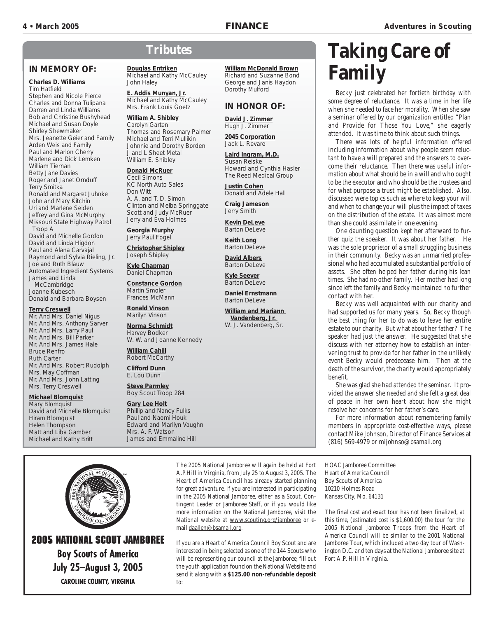Dorothy Mulford

**David J. Zimmer** Hugh J. Zimmer **2045 Corporation** Jack L. Revare

**Laird Ingram, M.D.** Susan Reiske

Donald and Adele Hall

**Justin Cohen**

**Craig Jameson** Jerry Smith **Kevin DeLeve** Barton DeLeve **Keith Long** Barton DeLeve **David Albers** Barton DeLeve **Kyle Seever** Barton DeLeve

**Daniel Ernstmann** Barton Del eve

**William and Mariann Vandenberg, Jr.**  W. J. Vandenberg, Sr.

Howard and Cynthia Hasler The Reed Medical Group

**IN HONOR OF:**

**William McDonald Brown** Richard and Suzanne Bond George and Janis Haydon

#### **IN MEMORY OF:**

#### **Charles D. Williams** Tim Hatfield

Stephen and Nicole Pierce Charles and Donna Tulipana Darren and Linda Williams Bob and Christine Bushyhead Michael and Susan Doyle Shirley Shewmaker Mrs. Jeanette Geier and Family Arden Weis and Family Paul and Marion Cherry Marlene and Dick Lemken William Tiernan Betty Jane Davies Roger and Janet Ornduff Terry Smitka Ronald and Margaret Juhnke John and Mary Kitchin Uri and Marlene Seiden Jeffrey and Gina McMurphy Missouri State Highway Patrol Troop A David and Michelle Gordon David and Linda Higdon Paul and Alana Carvajal Raymond and Sylvia Rieling, Jr. Joe and Ruth Blauw Automated Ingredient Systems James and Linda

**McCambridge** Joanne Kubesch Donald and Barbara Boysen

#### **Terry Creswell**

Mr. And Mrs. Daniel Nigus Mr. And Mrs. Anthony Sarver Mr. And Mrs. Larry Paul Mr. And Mrs. Bill Parker Mr. And Mrs. James Hale Bruce Renfro Ruth Carter Mr. And Mrs. Robert Rudolph Mrs. May Coffman Mr. And Mrs. John Latting Mrs. Terry Creswell

#### **Michael Blomquist**

Mary Blomquist David and Michelle Blomquist Hiram Blomquist Helen Thompson Matt and Liba Gamber Michael and Kathy Britt

# **Tributes**

**Douglas Entriken** Michael and Kathy McCauley John Haley

**E. Addis Munyan, Jr.** Michael and Kathy McCauley Mrs. Frank Louis Goetz

#### **William A. Shibley**

Carolyn Garten Thomas and Rosemary Palmer Michael and Terri Mullikin Johnnie and Dorothy Borden J and L Sheet Metal William E. Shibley

#### **Donald McRuer**

Cecil Simons KC North Auto Sales Don Witt A. A. and T. D. Simon Clinton and Melba Springgate Scott and Judy McRuer Jerry and Eva Holmes

**Georgia Murphy** Jerry Paul Fogel

**Christopher Shipley** Joseph Shipley

**Kyle Chapman** Daniel Chapman

**Constance Gordon** Martin Smoler Frances McMann

**Ronald Vinson** Marilyn Vinson

**Norma Schmidt** Harvey Bodker W. W. and Joanne Kennedy

**William Cahill** Robert McCarthy

**Clifford Dunn** E. Lou Dunn

**Steve Parmley** Boy Scout Troop 284

#### **Gary Lee Holt** Phillip and Nancy Fulks Paul and Naomi Houk Edward and Marilyn Vaughn Mrs. A. F. Watson James and Emmaline Hill

The 2005 National Jamboree will again be held at Fort A.P.Hill in Virginia, from July 25 to August 3, 2005. The Heart of America Council has already started planning for great adventure. If you are interested in participating in the 2005 National Jamboree, either as a Scout, Contingent Leader or Jamboree Staff, or if you would like more information on the National Jamboree, visit the National website at www.scouting.org/jamboree or email daallen@bsamail.org.

If you are a Heart of America Council Boy Scout and are interested in being selected as one of the 144 Scouts who will be representing our council at the Jamboree, fill out the youth application found on the National Website and send it along with a **\$125.00 non-refundable deposit** to:

# **Taking Care of Family**

Becky just celebrated her fortieth birthday with some degree of reluctance. It was a time in her life when she needed to face her morality. When she saw a seminar offered by our organization entitled "Plan and Provide for Those You Love," she eagerly attended. It was time to think about such things.

There was lots of helpful information offered including information about why people seem reluctant to have a will prepared and the answers to overcome their reluctance. Then there was useful information about what should be in a will and who ought to be the executor and who should be the trustees and for what purpose a trust might be established. Also, discussed were topics such as where to keep your will and when to change your will plus the impact of taxes on the distribution of the estate. It was almost more than she could assimilate in one evening.

One daunting question kept her afterward to further quiz the speaker. It was about her father. He was the sole proprietor of a small struggling business in their community. Becky was an unmarried professional who had accumulated a substantial portfolio of assets. She often helped her father during his lean times. She had no other family. Her mother had long since left the family and Becky maintained no further contact with her.

Becky was well acquainted with our charity and had supported us for many years. So, Becky though the best thing for her to do was to leave her entire estate to our charity. But what about her father? The speaker had just the answer. He suggested that she discuss with her attorney how to establish an intervening trust to provide for her father in the unlikely event Becky would predecease him. Then at the death of the survivor, the charity would appropriately benefit.

She was glad she had attended the seminar. It provided the answer she needed and she felt a great deal of peace in her own heart about how she might resolve her concerns for her father's care.

For more information about remembering family members in appropriate cost-effective ways, please contact Mike Johnson, Director of Finance Services at (816) 569-4979 or mijohnso@bsamail.org

HOAC Jamboree Committee Heart of America Council Boy Scouts of America 10210 Holmes Road Kansas City, Mo. 64131

The final cost and exact tour has not been finalized, at this time, (estimated cost is \$1,600.00) the tour for the 2005 National Jamboree Troops from the Heart of America Council will be similar to the 2001 National Jamboree Tour, which included a two day tour of Washington D.C. and ten days at the National Jamboree site at Fort A.P. Hill in Virginia.



#### **2005 NATIONAL SCOUT JAMBOREE Boy Scouts of America July 25-August 3, 2005 CAROLINE COUNTY, VIRGINIA**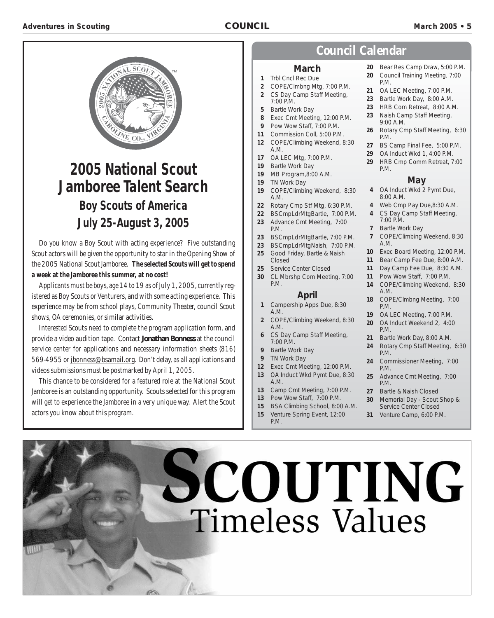

# **2005 National Scout Jamboree Talent Search Boy Scouts of America**

# **July 25-August 3, 2005**

Do you know a Boy Scout with acting experience? Five outstanding Scout actors will be given the opportunity to star in the Opening Show of the 2005 National Scout Jamboree. *The selected Scouts will get to spend a week at the Jamboree this summer, at no cost!*

Applicants must be boys, age 14 to 19 as of July 1, 2005, currently registered as Boy Scouts or Venturers, and with some acting experience. This experience may be from school plays, Community Theater, council Scout shows, OA ceremonies, or similar activities.

Interested Scouts need to complete the program application form, and provide a video audition tape. Contact **Jonathan Bonness** at the council service center for applications and necessary information sheets (816) 569-4955 or jbonness@bsamail.org. Don't delay, as all applications and videos submissions must be postmarked by April 1, 2005.

This chance to be considered for a featured role at the National Scout Jamboree is an outstanding opportunity. Scouts selected for this program will get to experience the Jamboree in a very unique way. Alert the Scout actors you know about this program.

#### **Council Calendar**

#### **March**

- **1** Trbl Cncl Rec Due
- **2** COPE/Clmbng Mtg, 7:00 P.M. **2** CS Day Camp Staff Meeting,
- 7:00 P.M. **5** Bartle Work Day
- 
- **8** Exec Cmt Meeting, 12:00 P.M.
- **9** Pow Wow Staff, 7:00 P.M. **11** Commission Coll, 5:00 P.M.
- **12** COPE/Climbing Weekend, 8:30
- A.M. **17** OA LEC Mtg, 7:00 P.M.
- **19** Bartle Work Day
- 
- **19** MB Program,8:00 A.M.
- **19** TN Work Day
- **19** COPE/Climbing Weekend, 8:30 A.M.
- **22** Rotary Cmp Stf Mtg, 6:30 P.M.
- **22** BSCmpLdrMtgBartle, 7:00 P.M.
- **23** Advance Cmt Meeting, 7:00
- P.M.
- **23** BSCmpLdrMtgBartle, 7:00 P.M.
- **23** BSCmpLdrMtgNaish, 7:00 P.M.
- **25** Good Friday, Bartle & Naish
- Closed **25** Service Center Closed
- **30** CL Mbrshp Com Meeting, 7:00 P.M.

#### **April**

- **1** Campership Apps Due, 8:30 A.M.
- **2** COPE/Climbing Weekend, 8:30 A.M.
- **6** CS Day Camp Staff Meeting, 7:00 P.M.
- **9** Bartle Work Day
- **9** TN Work Day
- **12** Exec Cmt Meeting, 12:00 P.M.
- **13** OA Induct Wkd Pymt Due, 8:30 A.M.
- **13** Camp Cmt Meeting, 7:00 P.M.
- **13** Pow Wow Staff, 7:00 P.M.
- **15** BSA Climbing School, 8:00 A.M.
- **15** Venture Spring Event, 12:00
	-
- **20** Bear Res Camp Draw, 5:00 P.M.
- **20** Council Training Meeting, 7:00 P.M.
- **21** OA LEC Meeting, 7:00 P.M.
- **23** Bartle Work Day, 8:00 A.M.
- **23** HRB Com Retreat, 8:00 A.M.
- **23** Naish Camp Staff Meeting, 9:00 A.M.
- **26** Rotary Cmp Staff Meeting, 6:30 P.M.
- **27** BS Camp Final Fee, 5:00 P.M.
- **29** OA Induct Wkd 1, 4:00 P.M.
- **29** HRB Cmp Comm Retreat, 7:00 P.M.

#### **May**

- **4** OA Induct Wkd 2 Pymt Due, 8:00 A.M.
- **4** Web Cmp Pay Due,8:30 A.M.
- **4** CS Day Camp Staff Meeting, 7:00 P.M.
- **7** Bartle Work Day
- **7** COPE/Climbing Weekend, 8:30 A.M.
- **10** Exec Board Meeting, 12:00 P.M.
- **11** Bear Camp Fee Due, 8:00 A.M.
- **11** Day Camp Fee Due, 8:30 A.M.
- **11** Pow Wow Staff, 7:00 P.M.
- **14** COPE/Climbing Weekend, 8:30 A.M.
- **18** COPE/Clmbng Meeting, 7:00 P.M.
- **19** OA LEC Meeting, 7:00 P.M.
- **20** OA Induct Weekend 2, 4:00 P.M.
- **21** Bartle Work Day, 8:00 A.M.
- **24** Rotary Cmp Staff Meeting, 6:30 P.M.
- **24** Commissioner Meeting, 7:00 P.M.
- **25** Advance Cmt Meeting, 7:00 P.M.
- **27** Bartle & Naish Closed
- **30** Memorial Day Scout Shop & Service Center Closed
- **31** Venture Camp, 6:00 P.M.

# SCOUTING **Timeless Values**

- 
- P.M.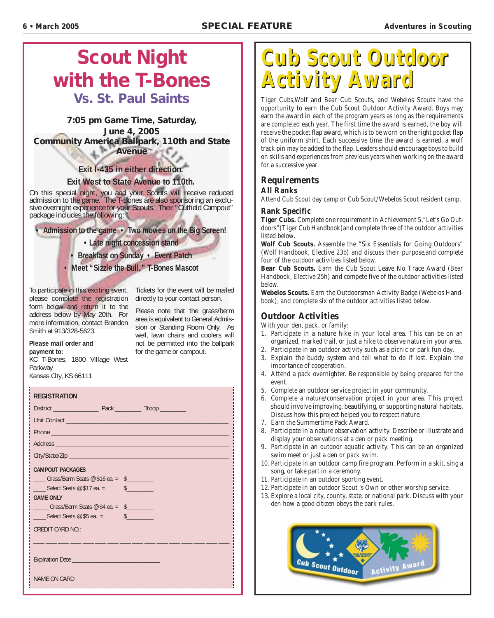# **Scout Night with the T-Bones Vs. St. Paul Saints**

#### **7:05 pm Game Time, Saturday, June 4, 2005 Community America Ballpark, 110th and State Avenue**

**Exit I-435 in either direction.** 

#### **Exit West to State Avenue to 110th.**

On this special night, you and your Scouts will receive reduced admission to the game. The T-Bones are also sponsoring an exclusive overnight experience for your Scouts. Their "Outfield Campout" package includes the following:

**• Admission to the game • Two movies on the Big Screen!** 

**• Late night concession stand** 

**• Breakfast on Sunday • Event Patch** 

**• Meet "Sizzle the Bull," T-Bones Mascot**

To participate in this exciting event, Tickets for the event will be mailed please complete the registration directly to your contact person. form below and return it to the address below by May 20th. For more information, contact Brandon Smith at 913/328-5623.

Please note that the grass/berm area is equivalent to General Admission or Standing Room Only. As well, lawn chairs and coolers will not be permitted into the ballpark for the game or campout.

#### **Please mail order and payment to:**

KC T-Bones, 1800 Village West Parkway Kansas City, KS 66111

#### **REGISTRATION**

| Address entertainment and the contract of the contract of the contract of the contract of the contract of the                                       |                                                                                                            |
|-----------------------------------------------------------------------------------------------------------------------------------------------------|------------------------------------------------------------------------------------------------------------|
|                                                                                                                                                     |                                                                                                            |
| <b>CAMPOUT PACKAGES</b>                                                                                                                             |                                                                                                            |
| $\frac{1}{2}$ Grass/Berm Seats @ \$16 ea. = \$                                                                                                      |                                                                                                            |
| Select Seats $@$ \$17 ea. $=$                                                                                                                       | $\frac{1}{2}$                                                                                              |
| <b>GAME ONLY</b>                                                                                                                                    |                                                                                                            |
| $\frac{1}{2}$ Grass/Berm Seats @ \$4 ea. = \$                                                                                                       |                                                                                                            |
| Select Seats $@$ \$5 ea. =<br><b>Contract Contract Contract Contract Contract Contract Contract Contract Contract Contract Contract Contract Co</b> | $\frac{1}{2}$                                                                                              |
| <b>CREDIT CARD NO.:</b>                                                                                                                             |                                                                                                            |
|                                                                                                                                                     | والمستحق والمناسخ المستنبأ المتناسخ المتناسخ والمستنب والمستحد والمتناقل أستنجح المستحد والمستنبة والمناسب |
|                                                                                                                                                     |                                                                                                            |
| -------------------                                                                                                                                 |                                                                                                            |

# **Cub Scout Outdoor Cub Scout Outdoor Activity Award Activity Award**

Tiger Cubs,Wolf and Bear Cub Scouts, and Webelos Scouts have the opportunity to earn the Cub Scout Outdoor Activity Award. Boys may earn the award in each of the program years as long as the requirements are completed each year. The first time the award is earned, the boy will receive the pocket flap award, which is to be worn on the right pocket flap of the uniform shirt. Each successive time the award is earned, a wolf track pin may be added to the flap. Leaders should encourage boys to build on skills and experiences from previous years when working on the award for a successive year.

#### **Requirements**

#### **All Ranks**

Attend Cub Scout day camp or Cub Scout/Webelos Scout resident camp.

#### **Rank Specific**

**Tiger Cubs.** Complete one requirement in Achievement 5,"Let's Go Outdoors"(Tiger Cub Handbook)and complete three of the outdoor activities listed below.

**Wolf Cub Scouts.** Assemble the "Six Essentials for Going Outdoors" (Wolf Handbook, Elective 23b) and discuss their purpose,and complete four of the outdoor activities listed below.

**Bear Cub Scouts.** Earn the Cub Scout Leave No Trace Award (Bear Handbook, Elective 25h) and compete five of the outdoor activities listed below.

**Webelos Scouts.** Earn the Outdoorsman Activity Badge (Webelos Handbook); and complete six of the outdoor activities listed below.

#### **Outdoor Activities**

With your den, pack, or family:

- 1. Participate in a nature hike in your local area. This can be on an organized, marked trail, or just a hike to observe nature in your area.
- 2. Participate in an outdoor activity such as a picnic or park fun day.
- 3. Explain the buddy system and tell what to do if lost. Explain the importance of cooperation.
- 4. Attend a pack overnighter. Be responsible by being prepared for the event.
- 5. Complete an outdoor service project in your community.
- 6. Complete a nature/conservation project in your area. This project should involve improving, beautifying, or supporting natural habitats. Discuss how this project helped you to respect nature.
- 7. Earn the Summertime Pack Award.
- 8. Participate in a nature observation activity. Describe or illustrate and display your observations at a den or pack meeting.
- 9. Participate in an outdoor aquatic activity. This can be an organized swim meet or just a den or pack swim.
- 10. Participate in an outdoor camp fire program. Perform in a skit, sing a song, or take part in a ceremony.
- 11. Participate in an outdoor sporting event.
- 12. Participate in an outdoor Scout 's Own or other worship service.
- 13. Explore a local city, county, state, or national park. Discuss with your den how a good citizen obeys the park rules.

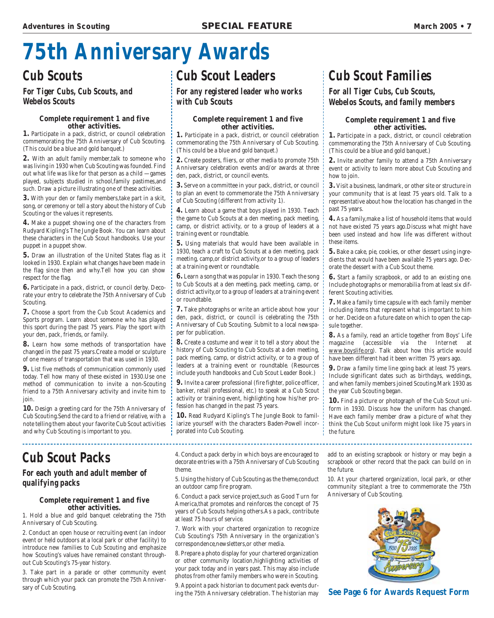# **75th Anniversary Awards**

## **Cub Scouts**

#### **For Tiger Cubs, Cub Scouts, and Webelos Scouts**

#### **Complete requirement 1 and five other activities.**

**1.** Participate in a pack, district, or council celebration commemorating the 75th Anniversary of Cub Scouting. (This could be a blue and gold banquet.)

**2.** With an adult family member,talk to someone who was living in 1930 when Cub Scouting was founded. Find out what life was like for that person as a child —games played, subjects studied in school,family pastimes,and such. Draw a picture illustrating one of these activities.

**3.** With your den or family members,take part in a skit, song, or ceremony or tell a story about the history of Cub Scouting or the values it represents.

**4.** Make a puppet showing one of the characters from Rudyard Kipling's The Jungle Book. You can learn about these characters in the Cub Scout handbooks. Use your puppet in a puppet show.

**5.** Draw an illustration of the United States flag as it looked in 1930. Explain what changes have been made in the flag since then and why.Tell how you can show respect for the flag.

**6.** Participate in a pack, district, or council derby. Decorate your entry to celebrate the 75th Anniversary of Cub Scouting.

**7.** Choose a sport from the Cub Scout Academics and Sports program. Learn about someone who has played this sport during the past 75 years. Play the sport with your den, pack, friends, or family.

**8.** Learn how some methods of transportation have changed in the past 75 years.Create a model or sculpture of one means of transportation that was used in 1930.

**9.** List five methods of communication commonly used today. Tell how many of these existed in 1930.Use one method of communication to invite a non-Scouting friend to a 75th Anniversary activity and invite him to join.

**10.** Design a greeting card for the 75th Anniversary of Cub Scouting.Send the card to a friend or relative, with a note telling them about your favorite Cub Scout activities and why Cub Scouting is important to you.

## **Cub Scout Packs**

#### **For each youth and adult member of qualifying packs**

#### **Complete requirement 1 and five other activities.**

1. Hold a blue and gold banquet celebrating the 75th Anniversary of Cub Scouting.

2. Conduct an open house or recruiting event (an indoor event or held outdoors at a local park or other facility) to introduce new families to Cub Scouting and emphasize how Scouting's values have remained constant throughout Cub Scouting's 75-year history.

3. Take part in a parade or other community event through which your pack can promote the 75th Anniversary of Cub Scouting.

# **Cub Scout Leaders**

**For any registered leader who works with Cub Scouts**

#### **Complete requirement 1 and five other activities.**

**1.** Participate in a pack, district, or council celebration commemorating the 75th Anniversary of Cub Scouting. (This could be a blue and gold banquet.)

**2.** Create posters, fliers, or other media to promote 75th Anniversary celebration events and/or awards at three den, pack, district, or council events.

**3.** Serve on a committee in your pack, district, or council to plan an event to commemorate the 75th Anniversary of Cub Scouting (different from activity 1).

**4.** Learn about a game that boys played in 1930. Teach the game to Cub Scouts at a den meeting, pack meeting, camp, or district activity, or to a group of leaders at a training event or roundtable.

**5.** Using materials that would have been available in 1930, teach a craft to Cub Scouts at a den meeting, pack meeting, camp,or district activity,or to a group of leaders at a training event or roundtable.

**6.** Learn a song that was popular in 1930. Teach the song to Cub Scouts at a den meeting, pack meeting, camp, or district activity,or to a group of leaders at a training event or roundtable.

**7.** Take photographs or write an article about how your den, pack, district, or council is celebrating the 75th Anniversary of Cub Scouting. Submit to a local newspaper for publication.

**8.** Create a costume and wear it to tell a story about the history of Cub Scouting to Cub Scouts at a den meeting, pack meeting, camp, or district activity, or to a group of leaders at a training event or roundtable. (Resources include youth handbooks and Cub Scout Leader Book.)

**9.** Invite a career professional (fire fighter, police officer, banker, retail professional, etc.) to speak at a Cub Scout activity or training event, highlighting how his/her profession has changed in the past 75 years.

**10.** Read Rudyard Kipling's The Jungle Book to familiarize yourself with the characters Baden-Powell incorporated into Cub Scouting.

4. Conduct a pack derby in which boys are encouraged to decorate entries with a 75th Anniversary of Cub Scouting theme.

5. Using the history of Cub Scouting as the theme,conduct an outdoor camp fire program.

6. Conduct a pack service project,such as Good Turn for America,that promotes and reinforces the concept of 75 years of Cub Scouts helping others.As a pack, contribute at least 75 hours of service.

7. Work with your chartered organization to recognize Cub Scouting's 75th Anniversary in the organization's correspondence,newsletters,or other media.

8. Prepare a photo display for your chartered organization or other community location,highlighting activities of your pack today and in years past. This may also include photos from other family members who were in Scouting.

9. Appoint a pack historian to document pack events during the 75th Anniversary celebration. The historian may

# **Cub Scout Families**

#### **For all Tiger Cubs, Cub Scouts, Webelos Scouts, and family members**

#### **Complete requirement 1 and five other activities.**

**1.** Participate in a pack, district, or council celebration commemorating the 75th Anniversary of Cub Scouting. (This could be a blue and gold banquet.)

**2.** Invite another family to attend a 75th Anniversary event or activity to learn more about Cub Scouting and how to join.

**3.** Visit a business, landmark, or other site or structure in your community that is at least 75 years old. Talk to a representative about how the location has changed in the past 75 years.

**4.** As a family,make a list of household items that would not have existed 75 years ago.Discuss what might have been used instead and how life was different without these items.

**5.** Bake a cake, pie, cookies, or other dessert using ingredients that would have been available 75 years ago. Decorate the dessert with a Cub Scout theme.

**6.** Start a family scrapbook, or add to an existing one. Include photographs or memorabilia from at least six different Scouting activities.

**7.** Make a family time capsule with each family member including items that represent what is important to him or her. Decide on a future date on which to open the capsule together.

**8.** As a family, read an article together from Boys' Life magazine (accessible via the Internet at www.boyslife.org). Talk about how this article would have been different had it been written 75 years ago.

**9.** Draw a family time line going back at least 75 years. Include significant dates such as birthdays, weddings, and when family members joined Scouting.Mark 1930 as the year Cub Scouting began.

**10.** Find a picture or photograph of the Cub Scout uniform in 1930. Discuss how the uniform has changed. Have each family member draw a picture of what they think the Cub Scout uniform might look like 75 years in the future.

add to an existing scrapbook or history or may begin a scrapbook or other record that the pack can build on in the future.

10. At your chartered organization, local park, or other community site,plant a tree to commemorate the 75th Anniversary of Cub Scouting.



**See Page 6 for Awards Request Form**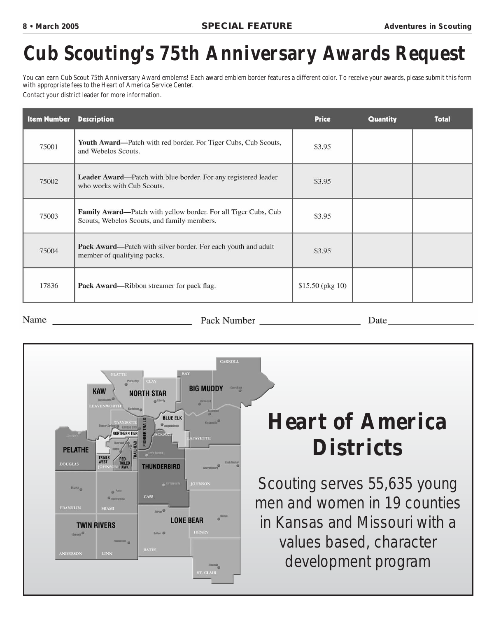# **Cub Scouting's 75th Anniversary Awards Request**

You can earn Cub Scout 75th Anniversary Award emblems! Each award emblem border features a different color. To receive your awards, please submit this form with appropriate fees to the Heart of America Service Center.

Contact your district leader for more information.

| <b>Item Number</b> | <b>Description</b>                                                                                            | <b>Price</b>      | <b>Quantity</b> | <b>Total</b> |
|--------------------|---------------------------------------------------------------------------------------------------------------|-------------------|-----------------|--------------|
| 75001              | Youth Award—Patch with red border. For Tiger Cubs, Cub Scouts,<br>and Webelos Scouts.                         | \$3.95            |                 |              |
| 75002              | Leader Award—Patch with blue border. For any registered leader<br>who works with Cub Scouts.                  | \$3.95            |                 |              |
| 75003              | Family Award—Patch with yellow border. For all Tiger Cubs, Cub<br>Scouts, Webelos Scouts, and family members. | \$3.95            |                 |              |
| 75004              | Pack Award—Patch with silver border. For each youth and adult<br>member of qualifying packs.                  | \$3.95            |                 |              |
| 17836              | Pack Award—Ribbon streamer for pack flag.                                                                     | $$15.50$ (pkg 10) |                 |              |

Name

Pack Number

Date



# **Heart of America Districts**

Scouting serves 55,635 young men and women in 19 counties in Kansas and Missouri with a values based, character development program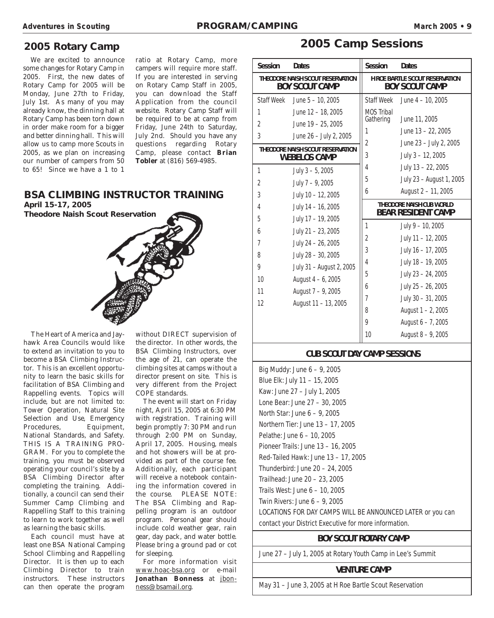#### **2005 Rotary Camp**

We are excited to announce some changes for Rotary Camp in 2005. First, the new dates of Rotary Camp for 2005 will be Monday, June 27th to Friday, July 1st. As many of you may already know, the dinning hall at Rotary Camp has been torn down in order make room for a bigger and better dinning hall. This will allow us to camp more Scouts in 2005, as we plan on increasing our number of campers from 50 to 65! Since we have a 1 to 1 ratio at Rotary Camp, more campers will require more staff. If you are interested in serving on Rotary Camp Staff in 2005, you can download the Staff Application from the council website. Rotary Camp Staff will be required to be at camp from Friday, June 24th to Saturday, July 2nd. Should you have any questions regarding Rotary Camp, please contact **Brian Tobler** at (816) 569-4985.

#### **BSA CLIMBING INSTRUCTOR TRAINING April 15-17, 2005**

**Theodore Naish Scout Reservation**



The Heart of America and Jayhawk Area Councils would like to extend an invitation to you to become a BSA Climbing Instructor. This is an excellent opportunity to learn the basic skills for facilitation of BSA Climbing and Rappelling events. Topics will include, but are not limited to: Tower Operation, Natural Site Selection and Use, Emergency Procedures, Equipment, National Standards, and Safety. THIS IS A TRAINING PRO-GRAM. For you to complete the training, you must be observed operating your council's site by a BSA Climbing Director after completing the training. Additionally, a council can send their Summer Camp Climbing and Rappelling Staff to this training to learn to work together as well as learning the basic skills.

Each council must have at least one BSA National Camping School Climbing and Rappelling Director. It is then up to each Climbing Director to train instructors. These instructors can then operate the program

without DIRECT supervision of the director. In other words, the BSA Climbing Instructors, over the age of 21, can operate the climbing sites at camps without a director present on site. This is very different from the Project COPE standards.

The event will start on Friday night, April 15, 2005 at 6:30 PM with registration. Training will begin promptly 7: 30 PM and run through 2:00 PM on Sunday, April 17, 2005. Housing, meals and hot showers will be at provided as part of the course fee. Additionally, each participant will receive a notebook containing the information covered in the course. PLEASE NOTE: The BSA Climbing and Rappelling program is an outdoor program. Personal gear should include cold weather gear, rain gear, day pack, and water bottle. Please bring a ground pad or cot for sleeping.

For more information visit www.hoac-bsa.org or e-mail Jonathan Bonness at jbonness@bsamail.org.

#### **2005 Camp Sessions**

| <b>Session</b>                                            | <b>Dates</b>                     | <b>Session</b>    | <b>Dates</b>                                                 |
|-----------------------------------------------------------|----------------------------------|-------------------|--------------------------------------------------------------|
| THEODORE NAISH SCOUT RESERVATION<br><b>BOY SCOUT CAMP</b> |                                  |                   | H ROE BARTLE SCOUT RESERVATION<br><b>BOY SCOUT CAMP</b>      |
| <b>Staff Week</b>                                         | June $5 - 10$ , 2005             | <b>Staff Week</b> | June $4 - 10$ , 2005                                         |
| 1                                                         | June 12 - 18, 2005               | <b>MOS Tribal</b> |                                                              |
| $\overline{2}$                                            | June 19 - 25, 2005               | Gathering         | June 11, 2005                                                |
| 3                                                         | June 26 - July 2, 2005           | 1                 | June 13 - 22, 2005                                           |
|                                                           | THEODORE NAISH SCOUT RESERVATION | $\overline{2}$    | June 23 - July 2, 2005                                       |
|                                                           | <b>WEBELOS CAMP</b>              | 3                 | July 3 - 12, 2005                                            |
| 1                                                         | July $3 - 5$ , 2005              | 4                 | July 13 - 22, 2005                                           |
| $\overline{2}$                                            | July 7 - 9, 2005                 | 5                 | July 23 - August 1, 2005                                     |
| 3                                                         | July 10 - 12, 2005               | 6                 | August 2 - 11, 2005                                          |
| 4                                                         | July 14 - 16, 2005               |                   | <b>THEODORE NAISH CUB WORLD</b><br><b>BEAR RESIDENT CAMP</b> |
| 5                                                         | July 17 - 19, 2005               | 1                 | July 9 - 10, 2005                                            |
| 6                                                         | July 21 - 23, 2005               | 2                 | July 11 - 12, 2005                                           |
| $\overline{7}$                                            | July 24 - 26, 2005               |                   |                                                              |
| 8                                                         | July 28 - 30, 2005               | 3                 | July 16 - 17, 2005                                           |
| 9                                                         | July 31 - August 2, 2005         | 4                 | July 18 - 19, 2005                                           |
| 10                                                        | August $4 - 6$ , 2005            | 5                 | July 23 - 24, 2005                                           |
| 11                                                        | August 7 - 9, 2005               | 6                 | July 25 - 26, 2005                                           |
| 12                                                        | August 11 - 13, 2005             | 7                 | July 30 - 31, 2005                                           |
|                                                           |                                  | 8                 | August 1 - 2, 2005                                           |
|                                                           |                                  | 9                 | August 6 - 7, 2005                                           |
|                                                           |                                  | 10 <sup>°</sup>   | August 8 - 9, 2005                                           |

#### **CUB SCOUT DAY CAMP SESSIONS**

Big Muddy: June 6 – 9, 2005 Blue Elk: July 11 – 15, 2005 Kaw: June 27 – July 1, 2005 Lone Bear: June 27 – 30, 2005 North Star: June 6 – 9, 2005 Northern Tier: June 13 – 17, 2005 Pelathe: June 6 – 10, 2005 Pioneer Trails: June 13 – 16, 2005 Red-Tailed Hawk: June 13 – 17, 2005 Thunderbird: June 20 – 24, 2005 Trailhead: June 20 – 23, 2005 Trails West: June 6 – 10, 2005 Twin Rivers: June 6 – 9, 2005 LOCATIONS FOR DAY CAMPS WILL BE ANNOUNCED LATER or you can contact your District Executive for more information.

#### **BOY SCOUT ROTARY CAMP**

June 27 – July 1, 2005 at Rotary Youth Camp in Lee's Summit

#### **VENTURE CAMP**

May 31 – June 3, 2005 at H Roe Bartle Scout Reservation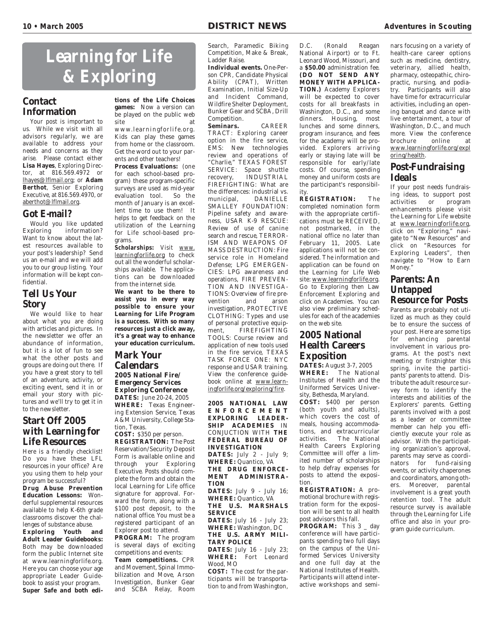# **Learning for Life & Exploring**

#### **Contact Information**

Your post is important to us. While we visit with all advisors regularly, we are available to address your needs and concerns as they arise. Please contact either **Lisa Hayes**, Exploring Director, at 816.569.4972 or lhayes@lflmail.org; or **Adam Berthot**, Senior Exploring Executive, at 816.569.4970, or aberthot@lflmail.org.

#### **Got E-mail?**

Would you like updated Exploring information? Want to know about the latest resources available to your post's leadership? Send us an e-mail and we will add you to our group listing. Your information will be kept confidential.

#### **Tell Us Your Story**

We would like to hear about what you are doing with articles and pictures. In the newsletter we offer an abundance of information, but it is a lot of fun to see what the other posts and groups are doing out there. If you have a great story to tell of an adventure, activity, or exciting event, send it in or email your story with pictures and we'll try to get it in to the newsletter.

#### **Start Off 2005 with Learning for Life Resources**

Here is a friendly checklist! Do you have these LFL resources in your office? Are you using them to help your program be successful?

**Drug Abuse Prevention Education Lessons:** Wonderful supplemental resources available to help K-6th grade classrooms discover the challenges of substance abuse.

**Exploring Youth and Adult Leader Guidebooks:** Both may be downloaded form the public Internet site at www.learningforlife.org. Here you can choose your age appropriate Leader Guidebook to assist your program. **Super Safe and both edi-**

**tions of the Life Choices games:** Now a version can be played on the public web site at

www.learningforlife.org. Kids can play these games from home or the classroom. Get the word out to your parents and other teachers!

**Process Evaluations:** (one for each school-based program) these program-specific surveys are used as mid-year evaluation tool. So the month of January is an excellent time to use them! It helps to get feedback on the utilization of the Learning for Life school-based programs.

**Scholarships:** Visit www. learningforlife.org to check out all the wonderful scholarships available. The applications can be downloaded from the internet side.

**We want to be there to assist you in every way possible to ensure your Learning for Life Program is a success. With so many resources just a click away, it's a great way to enhance your education curriculum.**

#### **Mark Your Calendars**

#### **2005 National Fire/ Emergency Services Exploring Conference**

**DATES:** June 20-24, 2005 **WHERE:** Texas Engineering Extension Service, Texas A&M University, College Station, Texas.

**COST:** \$350 per person. **REGISTRATION:** The Post Reservation/Security Deposit Form is available online and through your Exploring Executive. Posts should complete the form and obtain the local Learning for Life office signature for approval. Forward the form, along with a \$100 post deposit, to the national office. You must be a registered participant of an Explorer post to attend.

**PROGRAM:** The program is several days of exciting competitions and events:

**Team competitions.** CPR and Movement, Spinal Immobilization and Move, Arson Investigation, Bunker Gear and SCBA Relay, Room

Search, Paramedic Biking Competition, Make & Break, Ladder Raise.

**Individual events.** One-Person CPR, Candidate Physical Ability (CPAT), Written Examination, Initial Size-Up and Incident Command, Wildfire Shelter Deployment, Bunker Gear and SCBA, Drill Competition.

**Seminars.** CAREER TRACT: Exploring career option in the fire service, EMS: New technologies review and operations of "Charlie," TEXAS FOREST SERVICE: Space shuttle recovery, INDUSTRIAL FIREFIGHTING: What are the differences: industrial vs. municipal, DANIELLE SMALLEY FOUNDATION: Pipeline safety and awareness, USAR K-9 RESCUE: Review of use of canine search and rescue, TERROR-ISM AND WEAPONS OF MASS DESTRUCTION: Fire service role in Homeland Defense; LPG EMERGEN-CIES: LPG awareness and operations, FIRE PREVEN-TION AND INVESTIGA-TIONS: Overview of fire pre-<br>vention and arson vention investigation, PROTECTIVE CLOTHING: Types and use of personal protective equip-<br>ment. FIREFIGHTING FIREFIGHTING TOOLS: Course review and application of new tools used in the fire service, TEXAS TASK FORCE ONE: NYC response and USAR training. View the conference guidebook online at www.learningforlife.org/exploring/fire.

**2005 NATIONAL LAW ENFORCEMENT EXPLORING LEADER-SHIP ACADEMIES** *IN CONJUCTION WITH* **THE FEDERAL BUREAU OF INVESTIGATION DATES:** July 2 - July 9; **WHERE:** Quantico, VA **THE DRUG ENFORCE-MENT ADMINISTRA-TION DATES:** July 9 - July 16; **WHERE:** Quantico, VA **THE U.S. MARSHALS SERVICE DATES:** July 16 - July 23; **WHERE:** Washington, DC **THE U.S. ARMY MILI-TARY POLICE DATES:** July 16 - July 23; **WHERE:** Fort Leonard Wood, MO **COST:** The cost for the participants will be transporta-

tion to and from Washington,

D.C. (Ronald Reagan National Airport) or to Ft. Leonard Wood, Missouri, and a **\$50.00** administration fee. **(DO NOT SEND ANY MONEY WITH APPLICA-TION.)** Academy Explorers will be expected to cover costs for all breakfasts in Washington, D.C., and some dinners. Housing, most lunches and some dinners, program insurance, and fees for the academy will be provided. Explorers arriving early or staying late will be responsible for early/late costs. Of course, spending money and uniform costs are the participant's responsibility.

**REGISTRATION:** The completed nomination form with the appropriate certifications must be RECEIVED, not postmarked, in the national office no later than February 11, 2005. Late applications will not be considered. The information and application can be found on the Learning for Life Web site: www.learningforlife.org. Go to Exploring then Law Enforcement Exploring and click on Academies. You can also view preliminary schedules for each of the academies on the web site.

#### **2005 National Health Careers Exposition**

**DATES:** August 3-7, 2005 **WHERE:** The National Institutes of Health and the Uniformed Services University, Bethesda, Maryland.

**COST:** \$400 per person (both youth and adults), which covers the cost of meals, housing accommodations, and extracurricular<br>activities. The National The National Health Careers Exploring Committee will offer a limited number of scholarships to help defray expenses for posts to attend the exposition.

**REGISTRATION:** A promotional brochure with registration form for the exposition will be sent to all health post advisors this fall.

**PROGRAM:** This 3 day conference will have participants spending two full days on the campus of the Uniformed Services University and one full day at the National Institutes of Health. Participants will attend interactive workshops and semi-

nars focusing on a variety of health-care career options such as medicine, dentistry, veterinary, allied health, pharmacy, osteopathic, chiropractic, nursing, and podiatry. Participants will also have time for extracurricular activities, including an opening banquet and dance with live entertainment, a tour of Washington, D.C., and much more. View the conference<br>brochure online at brochure online at www.learningforlife.org/expl oring/health.

#### **Post-Fundraising Ideals**

If your post needs fundraising ideas, to support post<br>activities or program activities or program enhancements please visit the Learning for Life website at www.learningforlife.org, click on "Exploring," navigate to "New Resources" and click on "Resources for Exploring Leaders", then navigate to "How to Earn Money."

#### **Parents: An Untapped Resource for Posts**

Parents are probably not utilized as much as they could be to ensure the success of your post. Here are some tips for enhancing parental involvement in various programs. At the post's next meeting or firstnighter this spring, invite the participants<sup>7</sup> parents to attend. Distribute the adult resource survey form to identify the interests and abilities of the Explorers' parents. Getting parents involved with a post as a leader or committee member can help you efficiently execute your role as advisor. With the participating organization's approval, parents may serve as coordinators for fund-raising events, or activity chaperones and coordinators, among others. Moreover, parental involvement is a great youth retention tool. The adult resource survey is available through the Learning for Life office and also in your program guide curriculum.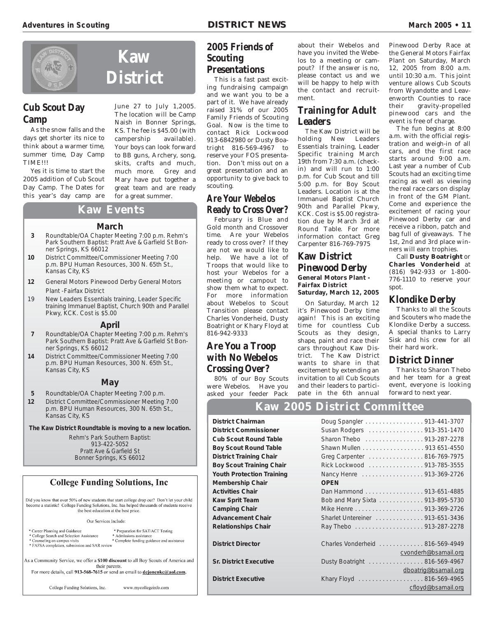

#### **Cub Scout Day Camp**

As the snow falls and the days get shorter its nice to think about a warmer time, summer time, Day Camp TIME!!!

Yes it is time to start the 2005 addition of Cub Scout Day Camp. The Dates for this year's day camp are June 27 to July 1,2005. The location will be Camp Naish in Bonner Springs, KS. The fee is \$45.00 (with campership available). Your boys can look forward to BB guns, Archery, song, skits, crafts and much, much more. Grey and Mary have put together a great team and are ready for a great summer.

#### **Kaw Events**

#### **March**

- **3** Roundtable/OA Chapter Meeting 7:00 p.m. Rehm's Park Southern Baptist: Pratt Ave & Garfield St Bonner Springs, KS 66012
- **10** District Committee/Commissioner Meeting 7:00 p.m. BPU Human Resources, 300 N. 65th St., Kansas City, KS
- **12** General Motors Pinewood Derby General Motors Plant -Fairfax District
- 19 New Leaders Essentials training, Leader Specific training Immanuel Baptist, Church 90th and Parallel Pkwy, KCK. Cost is \$5.00

#### **April**

- **7** Roundtable/OA Chapter Meeting 7:00 p.m. Rehm's Park Southern Baptist: Pratt Ave & Garfield St Bonner Springs, KS 66012
- **14** District Committee/Commissioner Meeting 7:00 p.m. BPU Human Resources, 300 N. 65th St., Kansas City, KS

#### **May**

- **5** Roundtable/OA Chapter Meeting 7:00 p.m.
- **12** District Committee/Commissioner Meeting 7:00 p.m. BPU Human Resources, 300 N. 65th St., Kansas City, KS

**The Kaw District Roundtable is moving to a new location.**

Rehm's Park Southern Baptist: 913-422-5052 Pratt Ave & Garfield St Bonner Springs, KS 66012

#### **College Funding Solutions, Inc.**

Did you know that over 50% of new students that start college drop out? Don't let your child become a statistic! College Funding Solutions, Inc. has helped thousands of students receive the best education at the best price.

#### Our Services Include:

- \* Career Planning and Guidance<br>\* College Search and Selection Assistance \* Preparation for SAT/ACT Testing
- 
- \* Admissions assistance<br>\* Complete funding guidance and assistance Counseling on campus visits \* FAFSA completion, submission and SAR review

As a Community Service, we offer a \$100 discount to all Boy Scouts of America and their parents. For more details, call 913-568-7615 or send an email to dejonenkc@aol.com.

> College Funding Solutions, Inc. www.mycollegeinfo.com

#### **2005 Friends of Scouting Presentations**

This is a fast past exciting fundraising campaign and we want you to be a part of it. We have already raised 31% of our 2005 Family Friends of Scouting Goal. Now is the time to contact Rick Lockwood 913-6842980 or Dusty Boatright 816-569-4967 to reserve your FOS presentation. Don't miss out on a great presentation and an opportunity to give back to scouting.

#### **Are Your Webelos Ready to Cross Over?**

February is Blue and Gold month and Crossover time. Are your Webelos ready to cross over? If they are not we would like to help. We have a lot of Troops that would like to host your Webelos for a meeting or campout to show them what to expect. For more information about Webelos to Scout Transition please contact Charles Vonderheid, Dusty Boatright or Khary Floyd at 816-942-9333

#### **Are You a Troop with No Webelos Crossing Over?**

80% of our Boy Scouts were Webelos. Have you asked your feeder Pack

about their Webelos and have you invited the Webelos to a meeting or campout? If the answer is no, please contact us and we will be happy to help with the contact and recruitment.

#### **Training for Adult Leaders**

The Kaw District will be holding New Leaders Essentials training, Leader Specific training March 19th from 7:30 a.m. (checkin) and will run to 1:00 p.m. for Cub Scout and till 5:00 p.m. for Boy Scout Leaders. Location is at the Immanuel Baptist Church 90th and Parallel Pkwy, KCK. Cost is \$5.00 registration due by March 3rd at Round Table. For more information contact Greg Carpenter 816-769-7975

#### **Kaw District Pinewood Derby General Motors Plant - Fairfax District**

**Saturday, March 12, 2005**

On Saturday, March 12 it's Pinewood Derby time again! This is an exciting time for countless Cub Scouts as they design, shape, paint and race their cars throughout Kaw District. The Kaw District wants to share in that excitement by extending an invitation to all Cub Scouts and their leaders to participate in the 6th annual Pinewood Derby Race at the General Motors Fairfax Plant on Saturday, March 12, 2005 from 8:00 a.m. until 10:30 a.m. This joint venture allows Cub Scouts from Wyandotte and Leavenworth Counties to race their gravity-propelled pinewood cars and the event is free of charge.

The fun begins at 8:00 a.m. with the official registration and weigh-in of all cars, and the first race starts around 9:00 a.m. Last year a number of Cub Scouts had an exciting time racing as well as viewing the real race cars on display in front of the GM Plant. Come and experience the excitement of racing your Pinewood Derby car and receive a ribbon, patch and bag full of giveaways. The 1st, 2nd and 3rd place winners will earn trophies.

Call **Dusty Boatright** or **Charles Vonderheid** at (816) 942-933 or 1-800- 776-1110 to reserve your spot.

#### **Klondike Derby**

Thanks to all the Scouts and Scouters who made the Klondike Derby a success. A special thanks to Larry Sisk and his crew for all their hard work.

#### **District Dinner**

Thanks to Sharon Thebo and her team for a great event, everyone is looking forward to next year.

#### **Kaw 2005 District Committee**

**District Chairman District Commissioner Cub Scout Round Table Boy Scout Round Table District Training Chair Boy Scout Training Chair Youth Protection Training Membership Chair Activities Chair Kaw Sprit Team Camping Chair Advancement Chair Relationships Chair** 

**District Director** 

**Sr. District Executive** 

**District Executive** 

|             | Doug Spangler 913-441-3707      |
|-------------|---------------------------------|
|             | Susan Rodgers 913-351-1470      |
|             | Sharon Thebo 913-287-2278       |
|             | Shawn Mullen 913 651-4550       |
|             | Greg Carpenter 816-769-7975     |
|             | Rick Lockwood 913-785-3555      |
|             | Nancy Henre 913-369-2726        |
| <b>OPEN</b> |                                 |
|             | Dan Hammond 913-651-4885        |
|             | Bob and Mary Sixta 913-895-5730 |
|             |                                 |
|             | Sharlet Untereiner 913-651-3436 |
|             |                                 |
|             |                                 |
|             | Charles Vonderheid 816-569-4949 |
|             | cvonderh@bsamail.org            |
|             | Dusty Boatright 816-569-4967    |
|             | dboatrig@bsamail.org            |
|             | Khary Floyd 816-569-4965        |
|             | cfloyd@bsamail.org              |
|             |                                 |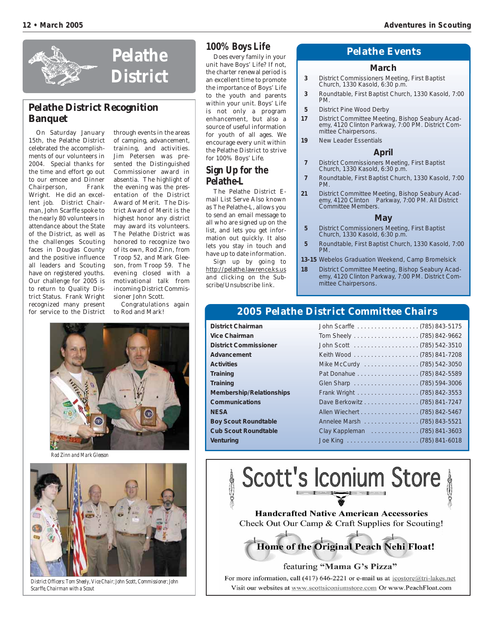

#### **Pelathe District Recognition Banquet**

On Saturday January 15th, the Pelathe District celebrated the accomplishments of our volunteers in 2004. Special thanks for the time and effort go out to our emcee and Dinner Chairperson, Frank Wright. He did an excellent job. District Chairman, John Scarffe spoke to the nearly 80 volunteers in attendance about the State of the District, as well as the challenges Scouting faces in Douglas County and the positive influence all leaders and Scouting have on registered youths. Our challenge for 2005 is to return to Quality District Status. Frank Wright recognized many present for service to the District

through events in the areas of camping, advancement, training, and activities. Jim Petersen was presented the Distinguished Commissioner award in absentia. The highlight of the evening was the presentation of the District Award of Merit. The District Award of Merit is the highest honor any district may award its volunteers. The Pelathe District was honored to recognize two of its own, Rod Zinn, from Troop 52, and Mark Gleeson, from Troop 59. The evening closed with a motivational talk from incoming District Commissioner John Scott.

Congratulations again to Rod and Mark!



*Rod Zinn and Mark Gleeson*



*District Officers: Tom Sheely, Vice Chair; John Scott, Commissioner; John Scarffe, Chairman with a Scout*

#### **100% Boys Life**

Does every family in your unit have Boys' Life? If not, the charter renewal period is an excellent time to promote the importance of Boys' Life to the youth and parents within your unit. Boys' Life is not only a program enhancement, but also a source of useful information for youth of all ages. We encourage every unit within the Pelathe District to strive for 100% Boys' Life.

#### **Sign Up for the Pelathe-L**

The Pelathe District Email List Serve Also known as The Pelathe-L, allows you to send an email message to all who are signed up on the list, and lets you get information out quickly. It also lets you stay in touch and have up to date information.

Sign up by going to http://pelathe.lawrence.ks.us and clicking on the Subscribe/Unsubscribe link.

#### **Pelathe Events**

#### **March**

- **3** District Commissioners Meeting, First Baptist Church, 1330 Kasold, 6:30 p.m.
- **3** Roundtable, First Baptist Church, 1330 Kasold, 7:00 PM.
- **5** District Pine Wood Derby
- **17** District Committee Meeting, Bishop Seabury Academy, 4120 Clinton Parkway, 7:00 PM. District Committee Chairpersons.
- **19** New Leader Essentials

#### **April**

- **7** District Commissioners Meeting, First Baptist Church, 1330 Kasold, 6:30 p.m.
- **7** Roundtable, First Baptist Church, 1330 Kasold, 7:00 PM.
- **21** District Committee Meeting, Bishop Seabury Academy, 4120 Clinton Parkway, 7:00 PM. All District Committee Members.

#### **May**

- **5** District Commissioners Meeting, First Baptist Church, 1330 Kasold, 6:30 p.m.
- **5** Roundtable, First Baptist Church, 1330 Kasold, 7:00 PM.
- **13-15** Webelos Graduation Weekend, Camp Bromelsick
- **18** District Committee Meeting, Bishop Seabury Academy, 4120 Clinton Parkway, 7:00 PM. District Committee Chairpersons.

#### **2005 Pelathe District Committee Chairs**

| <b>District Chairman</b>        |                               |
|---------------------------------|-------------------------------|
| Vice Chairman                   |                               |
| <b>District Commissioner</b>    |                               |
| Advancement                     |                               |
| <b>Activities</b>               | Mike McCurdy (785) 542-3050   |
| Training                        |                               |
| Training                        |                               |
| <b>Membership/Relationships</b> |                               |
| <b>Communications</b>           | Dave Berkowitz (785) 841-7247 |
| <b>NESA</b>                     | Allen Wiechert (785) 842-5467 |
| <b>Boy Scout Roundtable</b>     | Annelee Marsh (785) 843-5521  |
| <b>Cub Scout Roundtable</b>     | Clay Kappleman (785) 841-3603 |
| Venturing                       |                               |
|                                 |                               |



Home of the Original Peach Nehi Float!

#### featuring "Mama G's Pizza"

For more information, call (417) 646-2221 or e-mail us at  $\frac{1}{1}$  icostore @tri-lakes.net Visit our websites at www.scottsiconiumstore.com Or www.PeachFloat.com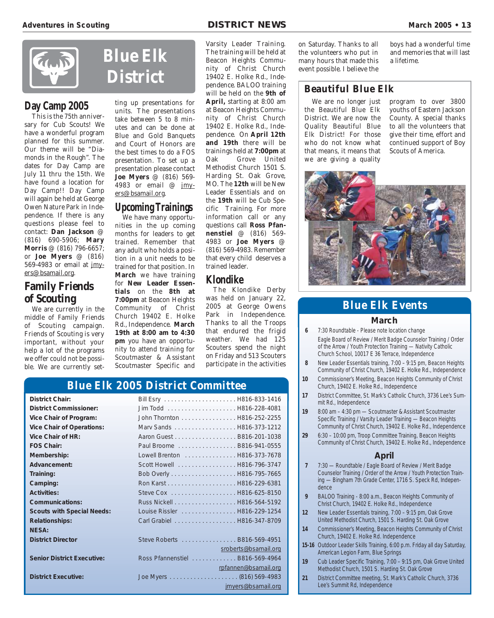

#### **Day Camp 2005**

This is the 75th anniversary for Cub Scouts! We have a wonderful program planned for this summer. Our theme will be "Diamonds in the Rough". The dates for Day Camp are July 11 thru the 15th. We have found a location for Day Camp!! Day Camp will again be held at George Owen Nature Park in Independence. If there is any questions please feel to contact: **Dan Jackson** @ (816) 690-5906; **Mary Morris** @ (816) 796-6657; or **Joe Myers** @ (816) 569-4983 or email at jmyers@bsamail.org.

#### **Family Friends of Scouting**

We are currently in the middle of Family Friends of Scouting campaign. Friends of Scouting is very important, without your help a lot of the programs we offer could not be possible. We are currently set-

**District** ting up presentations for units. The presentations take between 5 to 8 minutes and can be done at Blue and Gold Banquets and Court of Honors are the best times to do a FOS presentation. To set up a presentation please contact **Joe Myers** @ (816) 569- 4983 or email @ jmy-

**Blue Elk**

#### **Upcoming Trainings**

ers@bsamail.org.

We have many opportunities in the up coming months for leaders to get trained. Remember that any adult who holds a position in a unit needs to be trained for that position. In **March** we have training for **New Leader Essentials** on the **8th at 7:00pm** at Beacon Heights Community of Christ Church 19402 E. Holke Rd., Independence. **March 19th at 8:00 am to 4:30 pm** you have an opportunity to attend training for Scoutmaster & Assistant Scoutmaster Specific and

Varsity Leader Training. The training will be held at Beacon Heights Community of Christ Church 19402 E. Holke Rd., Independence. BALOO training will be held on the **9th of April,** starting at 8:00 am at Beacon Heights Community of Christ Church 19402 E. Holke Rd., Independence. On **April 12th and 19th** there will be trainings held at **7:00pm** at Oak Grove United Methodist Church 1501 S. Harding St. Oak Grove, MO. The **12th** will be New Leader Essentials and on the **19th** will be Cub Specific Training. For more information call or any questions call **Ross Pfannenstiel** @ (816) 569- 4983 or **Joe Myers** @ (816) 569-4983. Remember that every child deserves a trained leader.

#### **Klondike**

The Klondike Derby was held on January 22, 2005 at George Owens Park in Independence. Thanks to all the Troops that endured the frigid weather. We had 125 Scouters spend the night on Friday and 513 Scouters participate in the activities

#### **Blue Elk 2005 District Committee**

| <b>District Chair:</b>            |                                  |                      |
|-----------------------------------|----------------------------------|----------------------|
| <b>District Commissioner:</b>     |                                  |                      |
| Vice Chair of Program:            | John Thornton H816-252-2255      |                      |
| <b>Vice Chair of Operations:</b>  | Marv Sands H816-373-1212         |                      |
| Vice Chair of HR:                 | Aaron Guest B816-201-1038        |                      |
| <b>FOS Chair:</b>                 | Paul Broome  B816-941-0555       |                      |
| Membership:                       | Lowell Brenton H816-373-7678     |                      |
| Advancement:                      | Scott Howell H816-796-3747       |                      |
| Training:                         |                                  |                      |
| Camping:                          |                                  |                      |
| <b>Activities:</b>                |                                  |                      |
| <b>Communications:</b>            |                                  |                      |
| <b>Scouts with Special Needs:</b> | Louise Rissler H816-229-1254     |                      |
| <b>Relationships:</b>             | Carl Grabiel H816-347-8709       |                      |
| <b>NESA:</b>                      |                                  |                      |
| <b>District Director</b>          | Steve Roberts B816-569-4951      |                      |
|                                   |                                  | sroberts@bsamail.org |
| <b>Senior District Executive:</b> | Ross Pfannenstiel  B816-569-4964 |                      |
|                                   |                                  | rpfannen@bsamail.org |
| <b>District Executive:</b>        |                                  |                      |
|                                   |                                  | jmyers@bsamail.org   |

on Saturday. Thanks to all the volunteers who put in many hours that made this event possible. I believe the

boys had a wonderful time and memories that will last a lifetime.

#### **Beautiful Blue Elk**

We are no longer just the Beautiful Blue Elk District. We are now the Quality Beautiful Blue Elk District! For those who do not know what that means, it means that we are giving a quality

program to over 3800 youths of Eastern Jackson County. A special thanks to all the volunteers that give their time, effort and continued support of Boy Scouts of America.



#### **Blue Elk Events**

#### **March**

- **6** 7:30 Roundtable Please note location change Eagle Board of Review / Merit Badge Counselor Training / Order of the Arrow / Youth Protection Training — Nativity Catholic Church School, 10017 E 36 Terrace, Independence
- **8** New Leader Essentials training, 7:00 9:15 pm, Beacon Heights Community of Christ Church, 19402 E. Holke Rd., Independence
- **10** Commissioner's Meeting, Beacon Heights Community of Christ Church, 19402 E. Holke Rd., Independence
- **17** District Committee, St. Mark's Catholic Church, 3736 Lee's Summit Rd., Independence
- **19** 8:00 am 4:30 pm Scoutmaster & Assistant Scoutmaster Specific Training / Varsity Leader Training — Beacon Heights Community of Christ Church, 19402 E. Holke Rd., Independence
- **29** 6:30 10:00 pm, Troop Committee Training, Beacon Heights Community of Christ Church, 19402 E. Holke Rd., Independence

#### **April**

- **7** 7:30 Roundtable / Eagle Board of Review / Merit Badge Counselor Training / Order of the Arrow / Youth Protection Training — Bingham 7th Grade Center, 1716 S. Speck Rd, Independence
- **9** BALOO Training 8:00 a.m., Beacon Heights Community of Christ Church, 19402 E. Holke Rd., Independence
- **12** New Leader Essentials training, 7:00 9:15 pm, Oak Grove United Methodist Church, 1501 S. Harding St. Oak Grove
- **14** Commissioner's Meeting, Beacon Heights Community of Christ Church, 19402 E. Holke Rd. Independence
- **15-16** Outdoor Leader Skills Training, 6:00 p.m. Friday all day Saturday, American Legion Farm, Blue Springs
- **19** Cub Leader Specific Training, 7:00 9:15 pm, Oak Grove United Methodist Church, 1501 S. Harding St. Oak Grove
- **21** District Committee meeting, St. Mark's Catholic Church, 3736 Lee's Summit Rd, Independence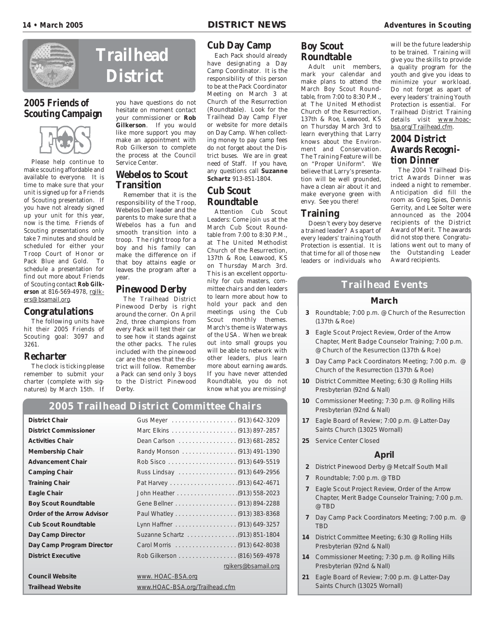

#### **2005 Friends of Scouting Campaign**



Please help continue to make scouting affordable and available to everyone. It is time to make sure that your unit is signed up for a Friends of Scouting presentation. If you have not already signed up your unit for this year, now is the time. Friends of Scouting presentations only take 7 minutes and should be scheduled for either your Troop Court of Honor or Pack Blue and Gold. To schedule a presentation for find out more about Friends of Scouting contact **Rob Gilkerson** at 816-569-4978, rgilkers@bsamail.org.

#### **Congratulations**

The following units have hit their 2005 Friends of Scouting goal: 3097 and 3261.

#### **Recharter**

The clock is ticking please remember to submit your charter (complete with signatures) by March 15th. If

# **Trailhead District**

you have questions do not hesitate on moment contact your commissioner or **Rob Gilkerson**. If you would like more support you may make an appointment with Rob Gilkerson to complete the process at the Council Service Center.

#### **Webelos to Scout Transition**

Remember that it is the responsibility of the Troop, Webelos Den leader and the parents to make sure that a Webelos has a fun and smooth transition into a troop. The right troop for a boy and his family can make the difference on if that boy attains eagle or leaves the program after a year.

#### **Pinewood Derby**

The Trailhead District Pinewood Derby is right around the corner. On April 2nd, three champions from every Pack will test their car to see how it stands against the other packs. The rules included with the pinewood car are the ones that the district will follow. Remember a Pack can send only 3 boys to the District Pinewood Derby.

#### **Cub Day Camp**

Each Pack should already have designating a Day Camp Coordinator. It is the responsibility of this person to be at the Pack Coordinator Meeting on March 3 at Church of the Resurrection (Roundtable). Look for the Trailhead Day Camp Flyer or website for more details on Day Camp. When collecting money to pay camp fees do not forget about the District buses. We are in great need of Staff. If you have, any questions call **Suzanne Schartz** 913-851-1804.

#### **Cub Scout Roundtable**

Attention Cub Scout Leaders: Come join us at the March Cub Scout Roundtable from 7:00 to 8:30 P.M., at The United Methodist Church of the Resurrection, 137th & Roe, Leawood, KS on Thursday March 3rd. This is an excellent opportunity for cub masters, committee chairs and den leaders to learn more about how to hold your pack and den meetings using the Cub Scout monthly themes. March's theme is Waterways of the USA. When we break out into small groups you will be able to network with other leaders, plus learn more about earning awards. If you have never attended Roundtable, you do not know what you are missing!

#### **2005 Trailhead District Committee Chairs**

| <b>District Chair</b>             |                                |
|-----------------------------------|--------------------------------|
| <b>District Commissioner</b>      |                                |
| <b>Activities Chair</b>           | Dean Carlson (913) 681-2852    |
| <b>Membership Chair</b>           | Randy Monson (913) 491-1390    |
| <b>Advancement Chair</b>          |                                |
| <b>Camping Chair</b>              | Russ Lindsay (913) 649-2956    |
| <b>Training Chair</b>             |                                |
| Eagle Chair                       |                                |
| <b>Boy Scout Roundtable</b>       |                                |
| <b>Order of the Arrow Advisor</b> | Paul Whatley (913) 383-8368    |
| <b>Cub Scout Roundtable</b>       | Lynn Haffner (913) 649-3257    |
| Day Camp Director                 |                                |
| Day Camp Program Director         |                                |
| <b>District Executive</b>         | Rob Gilkerson (816) 569-4978   |
|                                   | rgikers@bsamail.org            |
| <b>Council Website</b>            | www. HOAC-BSA.org              |
| <b>Trailhead Website</b>          | www.HOAC-BSA.org/Trailhead.cfm |

#### **Boy Scout Roundtable**

Adult unit members, mark your calendar and make plans to attend the March Boy Scout Roundtable, from 7:00 to 8:30 P.M., at The United Methodist Church of the Resurrection, 137th & Roe, Leawood, KS on Thursday March 3rd to learn everything that Larry knows about the Environment and Conservation. The Training Feature will be on "Proper Uniform". We believe that Larry's presentation will be well grounded, have a clean air about it and make everyone green with envy. See you there!

#### **Training**

Doesn't every boy deserve a trained leader? As apart of every leaders' training Youth Protection is essential. It is that time for all of those new leaders or individuals who will be the future leadership to be trained. Training will give you the skills to provide a quality program for the youth and give you ideas to minimize your workload. Do not forget as apart of every leaders' training Youth Protection is essential. For Trailhead District Training details visit www.hoacbsa.org/Trailhead.cfm.

#### **2004 District Awards Recognition Dinner**

The 2004 Trailhead District Awards Dinner was indeed a night to remember. Anticipation did fill the room as Greg Spies, Dennis Gerrity, and Lee Solter were announced as the 2004 recipients of the District Award of Merit. The awards did not stop there. Congratulations went out to many of the Outstanding Leader Award recipients.

#### **Trailhead Events**

#### **March**

- **3** Roundtable; 7:00 p.m. @ Church of the Resurrection (137th & Roe)
- **3** Eagle Scout Project Review, Order of the Arrow Chapter, Merit Badge Counselor Training; 7:00 p.m. @ Church of the Resurrection (137th & Roe)
- **3** Day Camp Pack Coordinators Meeting; 7:00 p.m. @ Church of the Resurrection (137th & Roe)
- **10** District Committee Meeting; 6:30 @ Rolling Hills Presbyterian (92nd & Nall)
- **10** Commissioner Meeting; 7:30 p.m. @ Rolling Hills Presbyterian (92nd & Nall)
- **17** Eagle Board of Review; 7:00 p.m. @ Latter-Day Saints Church (13025 Wornall)
- **25** Service Center Closed

#### **April**

- **2** District Pinewood Derby @ Metcalf South Mall
- **7** Roundtable; 7:00 p.m. @ TBD
- **7** Eagle Scout Project Review, Order of the Arrow Chapter, Merit Badge Counselor Training; 7:00 p.m. @ TBD
- **7** Day Camp Pack Coordinators Meeting; 7:00 p.m. @ **TRD**
- **14** District Committee Meeting; 6:30 @ Rolling Hills Presbyterian (92nd & Nall)
- **14** Commissioner Meeting; 7:30 p.m. @ Rolling Hills Presbyterian (92nd & Nall)
- **21** Eagle Board of Review; 7:00 p.m. @ Latter-Day Saints Church (13025 Wornall)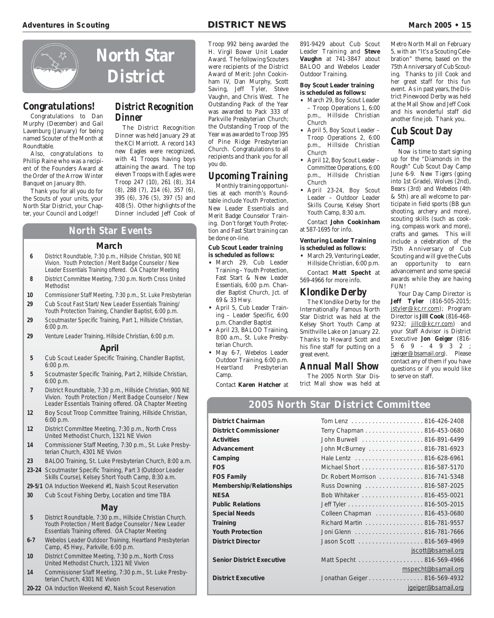

#### **Congratulations!**

Congratulations to Dan Murphy (December) and Gail Lavenburg (January) for being named Scouter of the Month at Roundtable.

Also, congratulations to Phillip Raine who was a recipient of the Founders Award at the Order of the Arrow Winter Banquet on January 8th.

Thank you for all you do for the Scouts of your units, your North Star District, your Chapter, your Council and Lodge!!

#### **District Recognition Dinner**

The District Recognition Dinner was held January 29 at the KCI Marriott. A record 143 new Eagles were recognized, with 41 Troops having boys attaining the award. The top eleven Troops with Eagles were Troop 247 (10), 261 (8), 314 (8), 288 (7), 214 (6), 357 (6), 395 (6), 376 (5), 397 (5) and 408 (5). Other highlights of the Dinner included Jeff Cook of

#### **North Star Events**

#### **March**

- **6** District Roundtable, 7:30 p.m., Hillside Christian, 900 NE Vivion. Youth Protection / Merit Badge Counselor / New Leader Essentials Training offered. OA Chapter Meeting
- **8** District Committee Meeting, 7:30 p.m. North Cross United **Methodist**
- **10** Commissioner Staff Meeting, 7:30 p.m., St. Luke Presbyterian **29** Cub Scout Fast Start/ New Leader Essentials Training/
- Youth Protection Training, Chandler Baptist, 6:00 p.m.
- **29** Scoutmaster Specific Training, Part 1, Hillside Christian, 6:00 p.m.
- **29** Venture Leader Training, Hillside Christian, 6:00 p.m.

#### **April**

- **5** Cub Scout Leader Specific Training, Chandler Baptist, 6:00 p.m.
- **5** Scoutmaster Specific Training, Part 2, Hillside Christian, 6:00 p.m.
- **7** District Roundtable, 7:30 p.m., Hillside Christian, 900 NE Vivion. Youth Protection / Merit Badge Counselor / New Leader Essentials Training offered. OA Chapter Meeting
- **12** Boy Scout Troop Committee Training, Hillside Christian, 6:00 p.m.
- **12** District Committee Meeting, 7:30 p.m., North Cross United Methodist Church, 1321 NE Vivion
- **14** Commissioner Staff Meeting, 7:30 p.m., St. Luke Presbyterian Church, 4301 NE Vivion
- **23** BALOO Training, St. Luke Presbyterian Church, 8:00 a.m. **23-24** Scoutmaster Specific Training, Part 3 (Outdoor Leader
- Skills Course), Kelsey Short Youth Camp, 8:30 a.m.
- **29-5/1** OA Induction Weekend #1, Naish Scout Reservation
- **30** Cub Scout Fishing Derby, Location and time TBA

#### **May**

- **5** District Roundtable, 7:30 p.m., Hillside Christian Church. Youth Protection / Merit Badge Counselor / New Leader Essentials Training offered. OA Chapter Meeting
- **6-7** Webelos Leader Outdoor Training, Heartland Presbyterian Camp, 45 Hwy., Parkville, 6:00 p.m.
- **10** District Committee Meeting, 7:30 p.m., North Cross United Methodist Church, 1321 NE Vivion
- **14** Commissioner Staff Meeting, 7:30 p.m., St. Luke Presbyterian Church, 4301 NE Vivion
- **20-22** OA Induction Weekend #2, Naish Scout Reservation

Troop 992 being awarded the H. Virgil Bower Unit Leader Award. The following Scouters were recipients of the District Award of Merit: John Cookinham IV, Dan Murphy, Scott Saving, Jeff Tyler, Steve Vaughn, and Chris West. The Outstanding Pack of the Year was awarded to Pack 333 of Parkville Presbyterian Church; the Outstanding Troop of the Year was awarded to Troop 395 of Pine Ridge Presbyterian Church. Congratulations to all recipients and thank you for all you do.

#### **Upcoming Training**

Monthly training opportunities at each month's Roundtable include Youth Protection, New Leader Essentials and Merit Badge Counselor Training. Don't forget Youth Protection and Fast Start training can be done on-line.

#### **Cub Scout Leader training is scheduled as follows:**

- March 29, Cub Leader Training – Youth Protection, Fast Start & New Leader Essentials, 6:00 p.m. Chandler Baptist Church, Jct. of 69 & 33 Hwy.
- April 5, Cub Leader Training – Leader Specific, 6:00 p.m. Chandler Baptist
- April 23, BALOO Training, 8:00 a.m., St. Luke Presbyterian Church.
- May 6-7, Webelos Leader Outdoor Training, 6:00 p.m. Heartland Presbyterian Camp.

Contact **Karen Hatcher** at

891-9429 about Cub Scout Leader Training and **Steve Vaughn** at 741-3847 about BALOO and Webelos Leader Outdoor Training.

#### **Boy Scout Leader training is scheduled as follows:**

- March 29, Boy Scout Leader – Troop Operations 1, 6:00 p.m., Hillside Christian Church
- April 5, Boy Scout Leader Troop Operations 2, 6:00 p.m., Hillside Christian Church
- April 12, Boy Scout Leader Committee Operations, 6:00 p.m., Hillside Christian Church
- April 23-24, Boy Scout Leader – Outdoor Leader Skills Course, Kelsey Short Youth Camp, 8:30 a.m.

Contact **John Cookinham** at 587-1695 for info.

#### **Venturing Leader Training is scheduled as follows:**

• March 29, Venturing Leader, Hillside Christian, 6:00 p.m.

Contact **Matt Specht** at 569-4966 for more info.

#### **Klondike Derby**

The Klondike Derby for the Internationally Famous North Star District was held at the Kelsey Short Youth Camp at Smithville Lake on January 22. Thanks to Howard Scott and his fine staff for putting on a great event.

#### **Annual Mall Show**

The 2005 North Star District Mall show was held at

**2005 North Star District Committee**

Metro North Mall on February 5, with an "It's a Scouting Celebration" theme, based on the 75th Anniversary of Cub Scouting. Thanks to Jill Cook and her great staff for this fun event. As in past years, the District Pinewood Derby was held at the Mall Show and Jeff Cook and his wonderful staff did another fine job. Thank you.

#### **Cub Scout Day Camp**

Now is time to start signing up for the "Diamonds in the Rough" Cub Scout Day Camp June 6-9. New Tigers (going into 1st Grade), Wolves (2nd), Bears (3rd) and Webelos (4th & 5th) are all welcome to participate in field sports (BB gun shooting, archery and more), scouting skills (such as cooking, compass work and more), crafts and games. This will include a celebration of the 75th Anniversary of Cub Scouting and will give the Cubs an opportunity to earn advancement and some special awards while they are having FUN!

Your Day Camp Director is **Jeff Tyler** (816-505-2015; jstyler@kc.rr.com); Program Director is **Jill Cook** (816-468- 9232; jillc@kc.rr.com) and your Staff Advisor is District Executive **Jon Geiger** (816- 569-4932; jgeiger@bsamail.org). Please contact any of them if you have questions or if you would like to serve on staff.

| <b>District Chairman</b>         |                                  |                     |
|----------------------------------|----------------------------------|---------------------|
| <b>District Commissioner</b>     | Terry Chapman 816-453-0680       |                     |
| <b>Activities</b>                | John Burwell 816-891-6499        |                     |
| Advancement                      | John McBurney 816-781-6923       |                     |
| Camping                          |                                  |                     |
| <b>FOS</b>                       | Michael Short 816-587-5170       |                     |
| <b>FOS Family</b>                | Dr. Robert Morrison 816-741-5348 |                     |
| Membership/Relationships         | Russ Downing 816-587-2025        |                     |
| <b>NESA</b>                      | Bob Whitaker 816-455-0021        |                     |
| <b>Public Relations</b>          |                                  |                     |
| <b>Special Needs</b>             | Colleen Chapman 816-453-0680     |                     |
| <b>Training</b>                  | Richard Martin 816-781-9557      |                     |
| <b>Youth Protection</b>          |                                  |                     |
| <b>District Director</b>         |                                  |                     |
|                                  |                                  | jscott@bsamail.org  |
| <b>Senior District Executive</b> | Matt Specht 816-569-4966         |                     |
|                                  |                                  | mspecht@bsamail.org |
| <b>District Executive</b>        | Jonathan Geiger 816-569-4932     |                     |
|                                  |                                  | jgeiger@bsamail.org |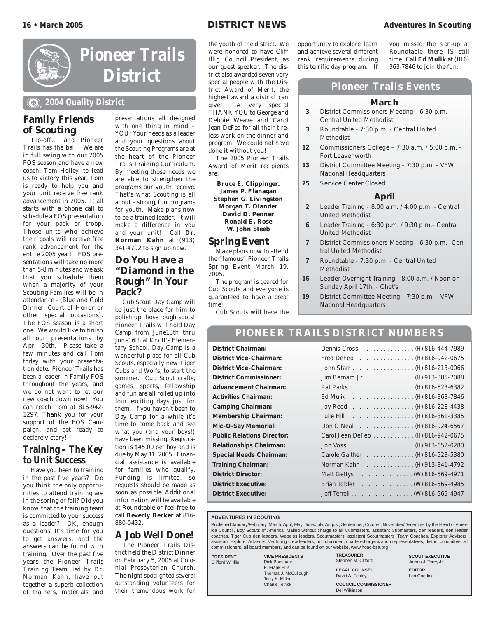#### **16** • March 2005 **channel 2005 channel 2005 channel DISTRICT NEWS channel 2005 channel 2005 c**



**Pioneer Trails District**

**2004 Quality District**

#### **Family Friends of Scouting**

Tip-off… and Pioneer Trails has the ball! We are in full swing with our 2005 FOS season and have a new coach, Tom Holley, to lead us to victory this year. Tom is ready to help you and your unit receive free rank advancement in 2005. It all starts with a phone call to schedule a FOS presentation for your pack or troop. Those units who achieve their goals will receive free rank advancement for the entire 2005 year! FOS presentations will take no more than 5-8 minutes and we ask that you schedule them when a majority of your Scouting Families will be in attendance - (Blue and Gold Dinner, Court of Honor or other special occasions). The FOS season is a short one. We would like to finish all our presentations by April 30th. Please take a few minutes and call Tom today with your presentation date. Pioneer Trails has been a leader in Family FOS throughout the years, and we do not want to let our new coach down now! You can reach Tom at 816-942- 1297. Thank you for your support of the FOS Campaign, and get ready to declare victory!

#### **Training – The Key to Unit Success**

Have you been to training in the past five years? Do you think the only opportunities to attend training are in the spring or fall? Did you know that the training team is committed to your success as a leader? OK, enough questions. It's time for you to get answers, and the answers can be found with training. Over the past five years the Pioneer Trails Training Team, led by Dr. Norman Kahn, have put together a superb collection of trainers, materials and

presentations all designed with one thing in mind – YOU! Your needs as a leader and your questions about the Scouting Programs are at the heart of the Pioneer Trails Training Curriculum. By meeting those needs we are able to strengthen the programs our youth receive. That's what Scouting is all about – strong, fun programs for youth. Make plans now to be a trained leader. It will make a difference in you and your unit! Call **Dr. Norman Kahn** at (913) 341-4792 to sign up now.

#### **Do You Have a "Diamond in the Rough" in Your Pack?**

Cub Scout Day Camp will be just the place for him to polish up those rough spots! Pioneer Trails will hold Day Camp from June13th thru June16th at Knott's Elementary School. Day Camp is a wonderful place for all Cub Scouts, especially new Tiger Cubs and Wolfs, to start the summer. Cub Scout crafts, games, sports, fellowship and fun are all rolled up into four exciting days just for them. If you haven't been to Day Camp for a while it's time to come back and see what you (and your boys!) have been missing. Registration is \$45.00 per boy and is due by May 11, 2005. Financial assistance is available for families who qualify. Funding is limited, so requests should be made as soon as possible. Additional information will be available at Roundtable or feel free to call **Beverly Becker** at 816- 880-0432.

#### **A Job Well Done!**

The Pioneer Trails District held the District Dinner on February 5, 2005 at Colonial Presbyterian Church. The night spotlighted several outstanding volunteers for their tremendous work for

the youth of the district. We were honored to have Cliff Illig, Council President, as our guest speaker. The district also awarded seven very special people with the District Award of Merit, the highest award a district can give! A very special THANK YOU to George and Debbie Weave and Carol Jean DeFeo for all their tireless work on the dinner and program. We could not have done it without you!

The 2005 Pioneer Trails Award of Merit recipients are:

**Bruce E. Clippinger. James P. Flanagan Stephen G. Livingston Morgan T. Olander David D. Penner Ronald E. Rose W. John Steeb**

#### **Spring Event**

Make plans now to attend the "famous" Pioneer Trails Spring Event March 19, 2005.

The program is geared for Cub Scouts and everyone is guaranteed to have a great time!

Cub Scouts will have the

opportunity to explore, learn and achieve several different rank requirements during this terrific day program. If you missed the sign-up at Roundtable there IS still time. Call **Ed Mulik** at (816) 363-7846 to join the fun.

#### **Pioneer Trails Events**

#### **March**

- **3** District Commissioners Meeting 6:30 p.m. Central United Methodist
- **3** Roundtable 7:30 p.m. Central United Methodist
- **12** Commissioners College 7:30 a.m. / 5:00 p.m. Fort Leavenworth
- **13** District Committee Meeting 7:30 p.m. VFW National Headquarters
- **25** Service Center Closed

#### **April**

- **2** Leader Training 8:00 a.m. / 4:00 p.m. Central United Methodist
- **6** Leader Training 6:30 p.m. / 9:30 p.m.- Central United Methodist
- **7** District Commissioners Meeting 6:30 p.m.- Central United Methodist
- **7** Roundtable 7:30 p.m. Central United Methodist
- **16** Leader Overnight Training 8:00 a.m. / Noon on Sunday April 17th - Chet's
- **19** District Committee Meeting 7:30 p.m. VFW National Headquarters

#### **PIONEER TRAILS DISTRICT NUMBERS**

#### **District Chairman:**

**District Vice-Chairman: District Vice-Chairman: District Commissioner: Advancement Chairman: Activities Chairman: Camping Chairman: Membership Chairman: Mic-O-Say Memorial: Public Relations Director: Relationships Chairman: Special Needs Chairman: Training Chairman: District Director: District Executive: District Executive:** 

| Dennis Cross (H) 816-444-7989     |  |
|-----------------------------------|--|
| Fred DeFeo (H) 816-942-0675       |  |
|                                   |  |
| Jim Bernard Jr. (H) 913-385-7088  |  |
|                                   |  |
|                                   |  |
|                                   |  |
|                                   |  |
| Don O'Neal (H) 816-924-6567       |  |
| Carol Jean DeFeo (H) 816-942-0675 |  |
|                                   |  |
| Carole Gaither (H) 816-523-5380   |  |
| Norman Kahn (H) 913-341-4792      |  |
| Matt Gettys (W) 816-569-4971      |  |
| Brian Tobler (W) 816-569-4985     |  |
|                                   |  |
|                                   |  |

#### **ADVENTURES IN SCOUTING**

Published January/February, March, April, May, June/July, August, September, October, November/December by the Heart of America Council, Boy Scouts of America. Mailed without charge to all Cubmasters, assistant Cubmasters, den leaders, den leader coaches, Tiger Cub den leaders, Webelos leaders, Scoutmasters, assistant Scoutmasters, Team Coaches, Explorer Advisors, assistant Explorer Advisors, Venturing crew leaders, unit chairmen, chartered organization representatives, district committee, all commissioners, all board members, and can be found on our website, www.hoac-bsa.org

**PRESIDENT** Clifford W. Illig **VICE PRESIDENTS** Rick Boeshaar E. Frank Ellis Thomas J. McCullough Terry K. Miller Charlie Tetrick

**TREASURER** Stephen M. Clifford **LEGAL COUNSEL** David A. Fenley

**SCOUT EXECUTIVE** James J. Terry, Jr. **EDITOR** Lori Gooding

**COUNCIL COMMISSIONER** Del Wilkinson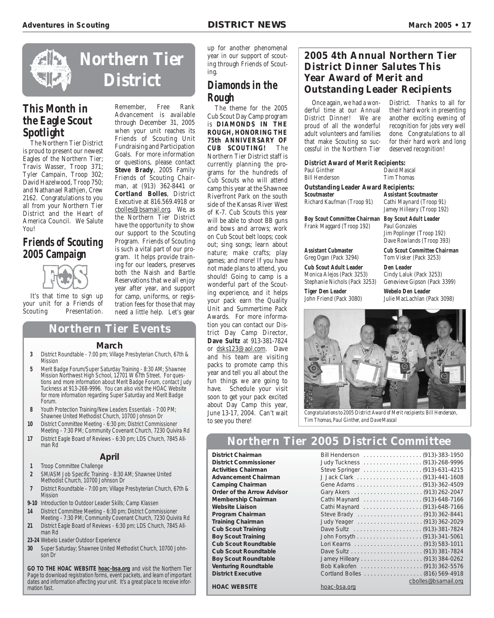

#### **This Month in the Eagle Scout Spotlight**

The Northern Tier District is proud to present our newest Eagles of the Northern Tier; Travis Wasser, Troop 371; Tyler Campain, Troop 302; David Hazelwood, Troop 750; and Nathanael Rathjen, Crew 2162. Congratulations to you all from your Northern Tier District and the Heart of America Council. We Salute **You!** 

#### **Friends of Scouting 2005 Campaign**



It's that time to sign up your unit for a Friends of Scouting Presentation.

#### Remember, Free Rank Advancement is available through December 31, 2005 when your unit reaches its Friends of Scouting Unit Fundraising and Participation Goals. For more information or questions, please contact **Steve Brady**, 2005 Family Friends of Scouting Chairman, at (913) 362-8441 or **Cortland Bolles**, District Executive at 816.569.4918 or cbolles@bsamail.org. We, as the Northern Tier District

have the opportunity to show our support to the Scouting Program. Friends of Scouting is such a vital part of our program. It helps provide training for our leaders, preserves both the Naish and Bartle Reservations that we all enjoy year after year, and support for camp, uniforms, or regis-

tration fees for those that may need a little help. Let's gear up for another phenomenal year in our support of scouting through Friends of Scouting.

#### **Diamonds in the Rough**

The theme for the 2005 Cub Scout Day Camp program is **DIAMONDS IN THE ROUGH, HONORING THE 75th ANNIVERSARY OF CUB SCOUTING!** The **CUB SCOUTING!** Northern Tier District staff is currently planning the programs for the hundreds of Cub Scouts who will attend camp this year at the Shawnee Riverfront Park on the south side of the Kansas River West of K-7. Cub Scouts this year will be able to shoot BB guns and bows and arrows; work on Cub Scout belt loops; cook out; sing songs; learn about nature; make crafts; play games; and more! If you have not made plans to attend, you should! Going to camp is a wonderful part of the Scouting experience, and it helps your pack earn the Quality Unit and Summertime Pack Awards. For more information you can contact our District Day Camp Director, **Dave Sultz** at 913-381-7824 or dsks123@aol.com. Dave and his team are visiting packs to promote camp this year and tell you all about the fun things we are going to have. Schedule your visit soon to get your pack excited about Day Camp this year, June 13-17, 2004. Can't wait to see you there!

#### **2005 4th Annual Northern Tier District Dinner Salutes This Year Award of Merit and Outstanding Leader Recipients**

Once again, we had a wonderful time at our Annual District Dinner! We are proud of all the wonderful adult volunteers and families that make Scouting so successful in the Northern Tier

District. Thanks to all for their hard work in presenting another exciting evening of recognition for jobs very well done. Congratulations to all for their hard work and long deserved recognition!

| <b>District Award of Merit Recipients:</b> |              |
|--------------------------------------------|--------------|
| Paul Ginther                               | David Mascal |
| <b>Bill Henderson</b>                      | Tim Thomas   |

**Outstanding Leader Award Recipients: Scoutmaster Assistant Scoutmaster** Richard Kaufman (Troop 91) Cathi Maynard (Troop 91)

**Boy Scout Committee Chairman Boy Scout Adult Leader** Frank Maggard (Troop 192) Paul Gonzales

**Cub Scout Adult Leader Den Leader**<br>
Monica Alejos (Pack 3253) Cindy Laluk Stephanie Nichols (Pack 3253) Genevieve Gipson (Pack 3399)

**Tiger Den Leader Webelo Den Leader**

Jamey Hilleary (Troop 192)

Jim Poplinger (Troop 192) Dave Rowlands (Troop 393)

**Assistant Cubmaster Cub Scout Committee Chairman** Greg Ogan (Pack 3294) Tom Visker (Pack 3253)

Cindy Laluk (Pack 3253)

John Friend (Pack 3080) Julie MacLachlan (Pack 3098)



*Congratulations to 2005 District Award of Merit recipients: Bill Henderson, Tim Thomas, Paul Ginther, and Dave Mascal*

#### **Northern Tier 2005 District Committee**

**District Chairman** Bill Henderson . . . . . . . . . . . . . . . . . . (913)-383-1950

**District Commissioner** Judy Tuckness . . . . . . . . . . . . . . . . . . (913)-268-9996 **Activities Chairman** Steve Springer . . . . . . . . . . . . . . . . . . (913)-631-4215 **Advancement Chairman** J Jack Clark . . . . . . . . . . . . . . . . . . . . (913)-441-1608 **Camping Chairman** Gene Adams . . . . . . . . . . . . . . . . . . . . (913)-362-4509 **Order of the Arrow Advisor** Gary Akers . . . . . . . . . . . . . . . . . . . . . (913) 262-2047 **Membership Chairman** Cathi Maynard . . . . . . . . . . . . . . . . . . (913)-648-7166 **Website Liaison** Cathi Maynard . . . . . . . . . . . . . . . . . . (913)-648-7166 **Program Chairman** Steve Brady . . . . . . . . . . . . . . . . . . . . (913) 362-8441 **Training Chairman** Judy Yeager . . . . . . . . . . . . . . . . . . . . (913) 362-2029 **Cub Scout Training** Dave Sultz . . . . . . . . . . . . . . . . . . . . . (913)-381-7824 **Boy Scout Training** John Forsyth . . . . . . . . . . . . . . . . . . . . (913)-341-5061 **Cub Scout Roundtable** Lori Kearns . . . . . . . . . . . . . . . . . . . . . (913) 583-1011 **Cub Scout Roundtable** Dave Sultz . . . . . . . . . . . . . . . . . . . . . . (913) 381-7824 **Boy Scout Roundtable** Jamey Hilleary . . . . . . . . . . . . . . . . . . . (913) 384-0262 **Venturing Roundtable** Bob Kalkofen . . . . . . . . . . . . . . . . . . . (913) 362-5576 **District Executive** Cortland Bolles . . . . . . . . . . . . . . . . . . (816) 569-4918 **HOAC WEBSITE hoac-bsa.org hoac-bsa.org hoac-bsa.org hoac-bsa.org hoac-bsa.org hoac-bsa.org hoac-bsa.org html** 

#### **Northern Tier Events**

#### **March**

- **3** District Roundtable 7:00 pm; Village Presbyterian Church, 67th & Mission
- **5** Merit Badge Forum/Super Saturday Training 8:30 AM; Shawnee Mission Northwest High School, 12701 W 67th Street. For questions and more information about Merit Badge Forum, contact Judy Tuckness at 913-268-9996. You can also visit the HOAC Website for more information regarding Super Saturday and Merit Badge Forum.
- **8** Youth Protection Training/New Leaders Essentials 7:00 PM; Shawnee United Methodist Church, 10700 Johnson Dr
- **10** District Committee Meeting 6:30 pm; District Commissioner Meeting - 7:30 PM; Community Covenant Church, 7230 Quivira Rd **17** District Eagle Board of Reviews - 6:30 pm; LDS Church, 7845 All-
- man Rd

#### **April**

- **1** Troop Committee Challenge
- **2** SM/ASM Job Specific Training 8:30 AM; Shawnee United Methodist Church, 10700 Johnson Dr
- **7** District Roundtable 7:00 pm; Village Presbyterian Church, 67th & Mission
- **9-10** Introduction to Outdoor Leader Skills; Camp Klassen
- **14** District Committee Meeting 6:30 pm; District Commissioner Meeting - 7:30 PM; Community Covenant Church, 7230 Quivira Rd **21** District Eagle Board of Reviews - 6:30 pm; LDS Church, 7845 All-
- man Rd **23-24** Webelo Leader Outdoor Experience
- 
- **30** Super Saturday; Shawnee United Methodist Church, 10700 Johnson Dr

**GO TO THE HOAC WEBSITE hoac-bsa.org** and visit the Northern Tier Page to download registration forms, event packets, and learn of important dates and information affecting your unit. It's a great place to receive information fast.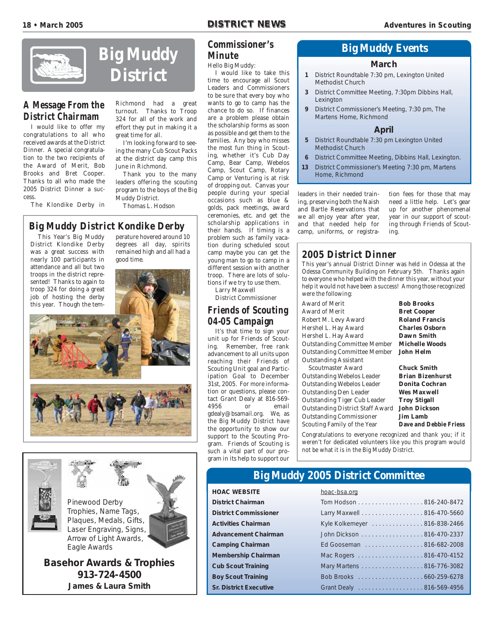

#### **A Message From the District Chairmam**

I would like to offer my congratulations to all who received awards at the District Dinner. A special congratulation to the two recipients of the Award of Merit, Bob Brooks and Bret Cooper. Thanks to all who made the 2005 District Dinner a success.

The Klondike Derby in

#### Richmond had a great turnout. Thanks to Troop 324 for all of the work and effort they put in making it a great time for all.

**Big Muddy**

**District**

I'm looking forward to seeing the many Cub Scout Packs at the district day camp this June in Richmond.

Thank you to the many leaders offering the scouting program to the boys of the Big Muddy District. Thomas L. Hodson

#### **Big Muddy District Kondike Derby**

This Year's Big Muddy District Klondike Derby was a great success with nearly 100 participants in attendance and all but two troops in the district represented! Thanks to again to perature hovered around 10 degrees all day, spirits remained high and all had a good time.







**Basehor Awards & Trophies 913-724-4500 James & Laura Smith**

#### **Commissioner's Minute**

Hello Big Muddy:

I would like to take this time to encourage all Scout Leaders and Commissioners to be sure that every boy who wants to go to camp has the chance to do so. If finances are a problem please obtain the scholarship forms as soon as possible and get them to the families. Any boy who misses the most fun thing in Scouting, whether it's Cub Day Camp, Bear Camp, Webelos Camp, Scout Camp, Rotary Camp or Venturing is at risk of dropping out. Canvas your people during your special occasions such as blue & golds, pack meetings, award ceremonies, etc. and get the scholarship applications in their hands. If timing is a problem such as family vacation during scheduled scout camp maybe you can get the young man to go to camp in a different session with another troop. There are lots of solutions if we try to use them.

Larry Maxwell

District Commissioner

#### **Friends of Scouting 04-05 Campaign**

It's that time to sign your unit up for Friends of Scouting. Remember, free rank advancement to all units upon reaching their Friends of Scouting Unit goal and Participation Goal to December 31st, 2005. For more information or questions, please contact Grant Dealy at 816-569- 4956 or email gdealy@bsamail.org. We, as the Big Muddy District have the opportunity to show our support to the Scouting Program. Friends of Scouting is such a vital part of our program in its help to support our

#### **Big Muddy Events**

#### **March**

- **1** District Roundtable 7:30 pm, Lexington United Methodist Church
- **3** District Committee Meeting, 7:30pm Dibbins Hall, Lexington
- **9** District Commissioner's Meeting, 7:30 pm, The Martens Home, Richmond

#### **April**

- **5** District Roundtable 7:30 pm Lexington United Methodist Church
- **6** District Committee Meeting, Dibbins Hall, Lexington.
- **13** District Commissioner's Meeting 7:30 pm, Martens Home, Richmond

leaders in their needed training, preserving both the Naish and Bartle Reservations that we all enjoy year after year, and that needed help for camp, uniforms, or registra-

tion fees for those that may need a little help. Let's gear up for another phenomenal year in our support of scouting through Friends of Scouting.

#### **2005 District Dinner**

This year's annual District Dinner was held in Odessa at the Odessa Community Building on February 5th. Thanks again to everyone who helped with the dinner this year, without your help it would not have been a success! Among those recognized were the following:

Award of Merit **Bob Brooks** Award of Merit **Bret Cooper** Robert M. Levy Award **Roland Francis** Hershel L. Hay Award **Charles Osborn** Hershel L. Hay Award **Dawn Smith** Outstanding Committee Member **Michelle Woods** Outstanding Committee Member **John Helm** Outstanding Assistant Scoutmaster Award **Chuck Smith Outstanding Webelos Leader Brian Bizenhurst<br>
Outstanding Webelos Leader Donita Cochran** 

**Outstanding Webelos Leader** Outstanding Den Leader **Wes Maxwell** Outstanding Tiger Cub Leader **Troy Stigall** Outstanding District Staff Award **John Dickson** Outstanding Commissioner **Jim Lamb** Scouting Family of the Year **Dave and Debbie Friess**

Congratulations to everyone recognized and thank you; if it weren't for dedicated volunteers like you this program would not be what it is in the Big Muddy District.

#### **Big Muddy 2005 District Committee**

#### **HOAC WEBSITE** hoac-bsa.org

**District Chairman District Commissioner Activities Chairman Advancement Chairman Camping Chairman Membership Chairman Cub Scout Training Boy Scout Training Sr. District Executive** 

| <u> NUAC-DSA.UM</u>          |
|------------------------------|
| Tom Hodson 816-240-8472      |
| Larry Maxwell 816-470-5660   |
| Kyle Kolkemeyer 816-838-2466 |
| John Dickson 816-470-2337    |
| Ed Gooseman 816-682-2008     |
| Mac Rogers 816-470-4152      |
| Mary Martens 816-776-3082    |
|                              |
| Grant Dealy 816-569-4956     |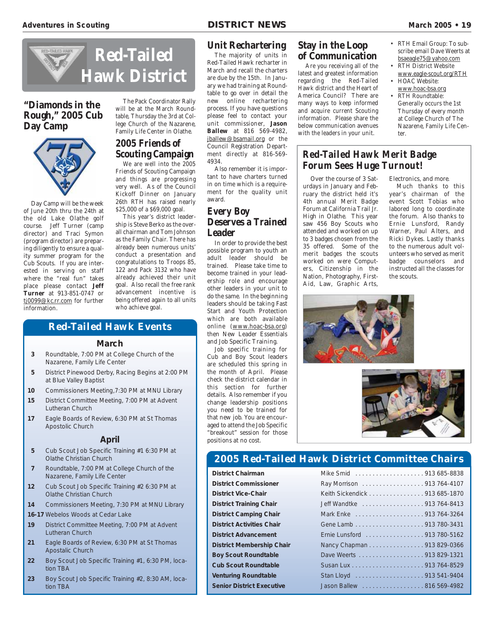• RTH Email Group: To subscribe email Dave Weerts at bsaeagle75@yahoo.com • RTH District Website www.eagle-scout.org/RTH

Nazarene, Family Life Cen-



#### **"Diamonds in the Rough," 2005 Cub Day Camp**



Day Camp will be the week of June 20th thru the 24th at the old Lake Olathe golf course. Jeff Turner (camp director) and Traci Symon (program director) are preparing diligently to ensure a quality summer program for the Cub Scouts. If you are interested in serving on staff where the "real fun" takes place please contact **Jeff Turner** at 913-851-0747 or tj0099@kc.rr.com for further information.

#### The Pack Coordinator Rally will be at the March Roundtable, Thursday the 3rd at College Church of the Nazarene, Family Life Center in Olathe.

#### **2005 Friends of Scouting Campaign**

We are well into the 2005 Friends of Scouting Campaign and things are progressing very well. As of the Council Kickoff Dinner on January 26th RTH has raised nearly \$25,000 of a \$69,000 goal.

This year's district leadership is Steve Berko as the overall chairman and Tom Johnson as the Family Chair. There has already been numerous units' conduct a presentation and congratulations to Troops 85, 122 and Pack 3132 who have already achieved their unit goal. Also recall the free rank advancement incentive is being offered again to all units who achieve goal.

#### **Red-Tailed Hawk Events**

#### **March**

- **3** Roundtable, 7:00 PM at College Church of the Nazarene, Family Life Center
- **5** District Pinewood Derby, Racing Begins at 2:00 PM at Blue Valley Baptist
- **10** Commissioners Meeting,7:30 PM at MNU Library
- **15** District Committee Meeting, 7:00 PM at Advent Lutheran Church
- **17** Eagle Boards of Review, 6:30 PM at St Thomas Apostolic Church

#### **April**

- **5** Cub Scout Job Specific Training #1 6:30 PM at Olathe Christian Church
- **7** Roundtable, 7:00 PM at College Church of the Nazarene, Family Life Center
- **12** Cub Scout Job Specific Training #2 6:30 PM at Olathe Christian Church
- **14** Commissioners Meeting, 7:30 PM at MNU Library
- **16-17** Webelos Woods at Cedar Lake
- **19** District Committee Meeting, 7:00 PM at Advent Lutheran Church
- **21** Eagle Boards of Review, 6:30 PM at St Thomas Apostalic Church
- **22** Boy Scout Job Specific Training #1, 6:30 PM, location TBA
- **23** Boy Scout Job Specific Training #2, 8:30 AM, location TBA

#### **Unit Rechartering**

The majority of units in Red-Tailed Hawk recharter in March and recall the charters are due by the 15th. In January we had training at Roundtable to go over in detail the new online rechartering process. If you have questions please feel to contact your unit commissioner, **Jason Ballew** at 816 569-4982, jballew@bsamail.org or the Council Registration Department directly at 816-569- 4934.

Also remember it is important to have charters turned in on time which is a requirement for the quality unit award.

#### **Every Boy Deserves a Trained Leader**

In order to provide the best possible program to youth an adult leader should be trained. Please take time to become trained in your leadership role and encourage other leaders in your unit to do the same. In the beginning leaders should be taking Fast Start and Youth Protection which are both available online (www.hoac-bsa.org) then New Leader Essentials and Job Specific Training.

Job specific training for Cub and Boy Scout leaders are scheduled this spring in the month of April. Please check the district calendar in this section for further details. Also remember if you change leadership positions you need to be trained for that new job. You are encouraged to attend the Job Specific "breakout" session for those positions at no cost.

#### **Stay in the Loop of Communication**

Are you receiving all of the latest and greatest information regarding the Red-Tailed Hawk district and the Heart of America Council? There are many ways to keep informed and acquire current Scouting information. Please share the below communication avenues with the leaders in your unit.

#### • RTH Roundtable: Generally occurs the 1st Thursday of every month at College Church of The

ter.

• HOAC Website: www.hoac-bsa.org

#### **Red-Tailed Hawk Merit Badge Forum Sees Huge Turnout!**

Over the course of 3 Saturdays in January and February the district held it's 4th annual Merit Badge Forum at California Trail Jr. High in Olathe. This year saw 456 Boy Scouts who attended and worked on up to 3 badges chosen from the 35 offered. Some of the merit badges the scouts worked on were Computers, Citizenship in the Nation, Photography, First-Aid, Law, Graphic Arts,

Electronics, and more.

Much thanks to this year's chairman of the event Scott Tobias who labored long to coordinate the forum. Also thanks to Ernie Lunsford, Randy Warner, Paul Alters, and Ricki Dykes. Lastly thanks to the numerous adult volunteers who served as merit badge counselors and instructed all the classes for the scouts.





#### **2005 Red-Tailed Hawk District Committee Chairs**

| <b>District Chairman</b>         |                               |
|----------------------------------|-------------------------------|
| <b>District Commissioner</b>     | Ray Morrison 913 764-4107     |
| <b>District Vice-Chair</b>       | Keith Sickendick 913 685-1870 |
| <b>District Training Chair</b>   | Jeff Wandtke 913 764-8413     |
| <b>District Camping Chair</b>    |                               |
| <b>District Activities Chair</b> |                               |
| <b>District Advancement</b>      | Ernie Lunsford 913 780-5162   |
| <b>District Membership Chair</b> | Nancy Chapman 913 829-0366    |
| <b>Boy Scout Roundtable</b>      | Dave Weerts 913 829-1321      |
| <b>Cub Scout Roundtable</b>      |                               |
| <b>Venturing Roundtable</b>      |                               |
| <b>Senior District Executive</b> | Jason Ballew 816 569-4982     |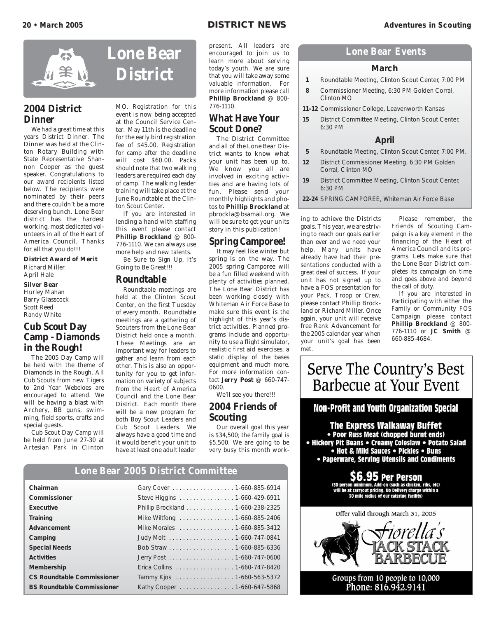

#### **2004 District Dinner**

We had a great time at this years District Dinner. The Dinner was held at the Clinton Rotary Building with State Representative Shannon Cooper as the guest speaker. Congratulations to our award recipients listed below. The recipients were nominated by their peers and there couldn't be a more deserving bunch. Lone Bear district has the hardest working, most dedicated volunteers in all of the Heart of America Council. Thanks for all that you do!!!

**District Award of Merit** Richard Miller April Hale

**Silver Bear** Hurley Mahan Barry Glasscock Scott Reed Randy White

#### **Cub Scout Day Camp - Diamonds in the Rough!**

The 2005 Day Camp will be held with the theme of Diamonds in the Rough. All Cub Scouts from new Tigers to 2nd Year Webeloes are encouraged to attend. We will be having a blast with Archery, BB guns, swimming, field sports, crafts and special guests.

Cub Scout Day Camp will be held from June 27-30 at Artesian Park in Clinton



MO. Registration for this event is now being accepted at the Council Service Center. May 11th is the deadline for the early bird registration fee of \$45.00. Registration for camp after the deadline will cost \$60.00. Packs should note that two walking leaders are required each day of camp. The walking leader training will take place at the June Roundtable at the Clinton Scout Center.

If you are interested in lending a hand with staffing this event please contact **Phillip Brockland** @ 800- 776-1110. We can always use more help and new talents.

Be Sure to Sign Up, It's Going to Be Great!!!

#### **Roundtable**

Roundtable meetings are held at the Clinton Scout Center, on the first Tuesday of every month. Roundtable meetings are a gathering of Scouters from the Lone Bear District held once a month. These Meetings are an important way for leaders to gather and learn from each other. This is also an opportunity for you to get information on variety of subjects from the Heart of America Council and the Lone Bear District. Each month there will be a new program for both Boy Scout Leaders and Cub Scout Leaders. We always have a good time and it would benefit your unit to have at least one adult leader

present. All leaders are encouraged to join us to learn more about serving today's youth. We are sure that you will take away some valuable information. For more information please call **Phillip Brockland** @ 800- 776-1110.

#### **What Have Your Scout Done?**

The District Committee and all of the Lone Bear District wants to know what your unit has been up to. We know you all are involved in exciting activities and are having lots of fun. Please send your monthly highlights and photos to **Phillip Brockland** at pbrockla@bsamail.org. We will be sure to get your units story in this publication!

#### **Spring Camporee!**

It may feel like winter but spring is on the way. The 2005 spring Camporee will be a fun filled weekend with plenty of activities planned. The Lone Bear District has been working closely with Whiteman Air Force Base to make sure this event is the highlight of this year's district activities. Planned programs include and opportunity to use a flight simulator, realistic first aid exercises, a static display of the bases equipment and much more. For more information contact **Jerry Post** @ 660-747- 0600.

We'll see you there!!!

#### **2004 Friends of Scouting**

Our overall goal this year is \$34,500; the family goal is \$5,500. We are going to be very busy this month work-

#### **Lone Bear 2005 District Committee**

| Chairman                          | Gary Cover 1-660-885-6914        |
|-----------------------------------|----------------------------------|
| Commissioner                      | Steve Higgins 1-660-429-6911     |
| Executive                         | Phillip Brockland 1-660-238-2325 |
| Training                          | Mike Wiltfong  1-660-885-2406    |
| Advancement                       | Mike Morales  1-660-885-3412     |
| Camping                           |                                  |
| <b>Special Needs</b>              |                                  |
| <b>Activities</b>                 | Jerry Post 1-660-747-0600        |
| Membership                        | Erica Collins 1-660-747-8420     |
| <b>CS Roundtable Commissioner</b> | Tammy Kjos 1-660-563-5372        |
| <b>BS Roundtable Commissioner</b> | Kathy Cooper 1-660-647-5868      |

#### **Lone Bear Events**

#### **March**

- **1** Roundtable Meeting, Clinton Scout Center, 7:00 PM
- **8** Commissioner Meeting, 6:30 PM Golden Corral, Clinton MO
- **11-12** Commissioner College, Leavenworth Kansas
- **15** District Committee Meeting, Clinton Scout Center, 6:30 PM

#### **April**

- **5** Roundtable Meeting, Clinton Scout Center, 7:00 PM.
- **12** District Commissioner Meeting, 6:30 PM Golden Corral, Clinton MO
- **19** District Committee Meeting, Clinton Scout Center, 6:30 PM
- **22-24** SPRING CAMPOREE, Whiteman Air Force Base

ing to achieve the Districts goals. This year, we are striving to reach our goals earlier than ever and we need your help. Many units have already have had their presentations conducted with a great deal of success. If your unit has not signed up to have a FOS presentation for your Pack, Troop or Crew, please contact Phillip Brockland or Richard Miller. Once again, your unit will receive free Rank Advancement for the 2005 calendar year when your unit's goal has been met.

Please remember, the Friends of Scouting Campaign is a key element in the financing of the Heart of America Council and its programs. Lets make sure that the Lone Bear District completes its campaign on time and goes above and beyond the call of duty.

If you are interested in Participating with either the Family or Community FOS Campaign please contact **Phillip Brockland** @ 800- 776-1110 or **JC Smith** @ 660-885-4684.

# Serve The Country's Best Barbecue at Your Event

#### Non-Profit and Youth Organization Special

The Express Walkaway Buffet

• Poor Russ Meat (chopped burnt ends) • Hickory Pit Beans • Creamy Coleslaw • Potato Salad • Hot & Mild Sauces • Pickles • Buns • Paperware, Serving Utensils and Condiments

> **Per Person** -on (such as chicken, ribs, etc) ut pricing. No Delivery charge within a 30 mile radius of our catering facility)



Groups from 10 people to 10,000 Phone: 816.942.9141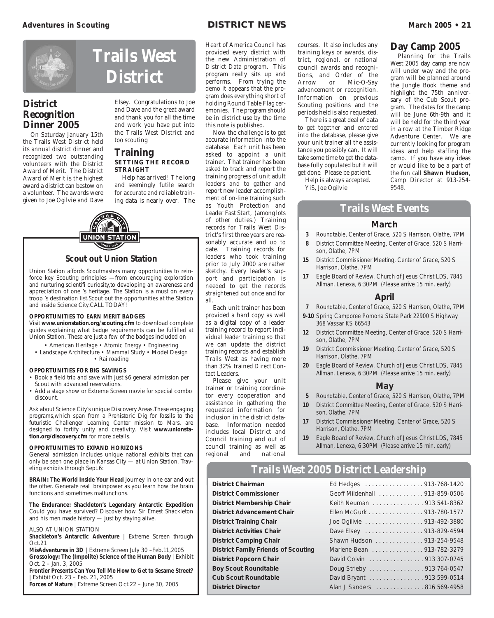#### **Day Camp 2005**

Planning for the Trails West 2005 day camp are now will under way and the program will be planned around the Jungle Book theme and highlight the 75th anniversary of the Cub Scout program. The dates for the camp will be June 6th-9th and it will be held for the third year in a row at the Timber Ridge Adventure Center. We are currently looking for program ideas and help staffing the camp. If you have any ideas or would like to be a part of the fun call **Shawn Hudson**, Camp Director at 913-254- 9548.

**Trails West District**

#### **District Recognition Dinner 2005**

On Saturday January 15th the Trails West District held its annual district dinner and recognized two outstanding volunteers with the District Award of Merit. The District Award of Merit is the highest award a district can bestow on a volunteer. The awards were given to Joe Ogilvie and Dave

Elsey. Congratulations to Joe and Dave and the great award and thank you for all the time and work you have put into the Trails West District and too scouting

#### **Training SETTING THE RECORD STRAIGHT**

Help has arrived! The long and seemingly futile search for accurate and reliable training data is nearly over. The



#### **Scout out Union Station**

Union Station affords Scoutmasters many opportunities to reinforce key Scouting principles —from encouraging exploration and nurturing scientifi curiosity,to developing an awareness and appreciation of one 's heritage. The Station is a must on every troop 's destination list.Scout out the opportunities at the Station and inside Science City.CALL TODAY!

#### **OPPORTUNITIES TO EARN MERIT BADGES**

Visit **www.unionstation.org/scouting.cfm** to download complete guides explaining what badge requirements can be fulfilled at Union Station. These are just a few of the badges included on

- American Heritage Atomic Energy Engineering
- Landscape Architecture Mammal Study Model Design • Railroading

#### **OPPORTUNITIES FOR BIG SAVINGS**

- Book a field trip and save with just \$6 general admission per Scout with advanced reservations.
- Add a stage show or Extreme Screen movie for special combo discount.

Ask about Science City's unique Discovery Areas.These engaging programs,which span from a Prehistoric Dig for fossils to the futuristic Challenger Learning Center mission to Mars, are designed to fortify unity and creativity. Visit **www.unionstation.org/discovery.cfm** for more details.

#### **OPPORTUNITIES TO EXPAND HORIZONS**

General admission includes unique national exhibits that can only be seen one place in Kansas City — at Union Station. Traveling exhibits through Sept.6:

**BRAIN: The World Inside Your Head** Journey in one ear and out the other. Generate real brainpower as you learn how the brain functions and sometimes malfunctions.

**The Endurance: Shackleton's Legendary Antarctic Expedition** Could you have survived? Discover how Sir Ernest Shackleton and his men made history — just by staying alive.

#### ALSO AT UNION STATION

**Shackleton's Antarctic Adventure** | Extreme Screen through Oct.21

**MisAdventures in 3D** | Extreme Screen July 30 –Feb.11,2005 **Grossology: The (Impolite) Science of the Human Body** | Exhibit Oct. 2 – Jan. 3, 2005

**Frontier Presents Can You Tell Me How to Get to Sesame Street?** | Exhibit Oct. 23 – Feb. 21, 2005 **Forces of Nature** | Extreme Screen Oct.22 – June 30, 2005

Heart of America Council has provided every district with the new Administration of District Data program. This program really sits up and performs. From trying the demo it appears that the program does everything short of holding Round Table Flag ceremonies. The program should be in district use by the time this note is published.

Now the challenge is to get accurate information into the database. Each unit has been asked to appoint a unit trainer. That trainer has been asked to track and report the training progress of unit adult leaders and to gather and report new leader accomplishment of on-line training such as Youth Protection and Leader Fast Start, (among lots of other duties.) Training records for Trails West District's first three years are reasonably accurate and up to date. Training records for leaders who took training prior to July 2000 are rather sketchy. Every leader's support and participation is needed to get the records straightened out once and for all.

Each unit trainer has been provided a hard copy as well as a digital copy of a leader training record to report individual leader training so that we can update the district training records and establish Trails West as having more than 32% trained Direct Contact Leaders.

Please give your unit trainer or training coordinator every cooperation and assistance in gathering the requested information for inclusion in the district database. Information needed includes local District and Council training and out of council training as well as regional and national

#### **Trails West Events**

#### **March**

- **3** Roundtable, Center of Grace, 520 S Harrison, Olathe, 7PM
- **8** District Committee Meeting, Center of Grace, 520 S Harrison, Olathe, 7PM
- **15** District Commissioner Meeting, Center of Grace, 520 S Harrison, Olathe, 7PM
- **17** Eagle Board of Review, Church of Jesus Christ LDS, 7845 Allman, Lenexa, 6:30PM (Please arrive 15 min. early)

#### **April**

- **7** Roundtable, Center of Grace, 520 S Harrison, Olathe, 7PM
- **9-10** Spring Camporee Pomona State Park 22900 S Highway 368 Vassar KS 66543
- **12** District Committee Meeting, Center of Grace, 520 S Harrison, Olathe, 7PM
- **19** District Commissioner Meeting, Center of Grace, 520 S Harrison, Olathe, 7PM
- **20** Eagle Board of Review, Church of Jesus Christ LDS, 7845 Allman, Lenexa, 6:30PM (Please arrive 15 min. early)

#### **May**

- **5** Roundtable, Center of Grace, 520 S Harrison, Olathe, 7PM
- **10** District Committee Meeting, Center of Grace, 520 S Harrison, Olathe, 7PM

courses. It also includes any training keys or awards, district, regional, or national council awards and recognitions, and Order of the Arrow or Mic-O-Say advancement or recognition. Information on previous Scouting positions and the periods held is also requested. There is a great deal of data to get together and entered into the database, please give your unit trainer all the assistance you possibly can. It will take some time to get the database fully populated but it will get done. Please be patient. Help is always accepted.

YiS, Joe Ogilvie

- **17** District Commissioner Meeting, Center of Grace, 520 S Harrison, Olathe, 7PM
- **19** Eagle Board of Review, Church of Jesus Christ LDS, 7845 Allman, Lenexa, 6:30PM (Please arrive 15 min. early)

#### **Trails West 2005 District Leadership**

**District Chairman District Commissioner District Membership Chair District Advancement Chair District Training Chair District Activities Chair District Camping Chair** . **District Family Friends of Scouting District Popcorn Chair Boy Scout Roundtable Cub Scout Roundtable District Director** 

| Ed Hedges 913-768-1420        |
|-------------------------------|
| Geoff Mildenhall 913-859-0506 |
| Keith Neuman 913 541-8362     |
| Ellen McGurk 913-780-1577     |
| Joe Ogilivie 913-492-3880     |
| Dave Elsey 913-829-4594       |
| Shawn Hudson 913-254-9548     |
| Marlene Bean 913-782-3279     |
| David Colvin 913 307-0745     |
| Doug Strieby 913 764-0547     |
| David Bryant 913 599-0514     |
| Alan J Sanders 816 569-4958   |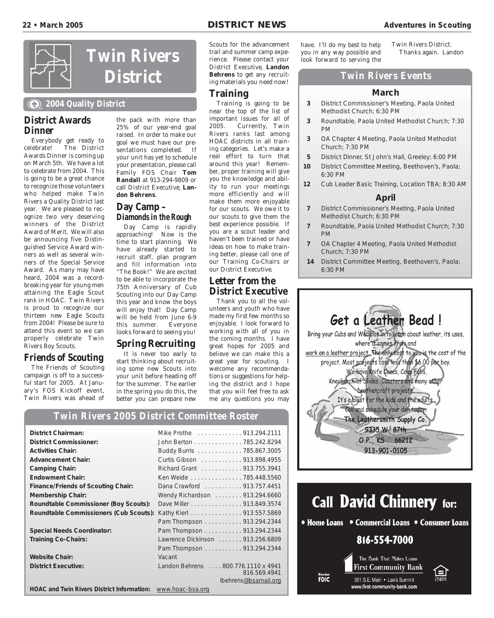

#### **2004 Quality District**

#### **District Awards Dinner**

Everybody get ready to celebrate! The District Awards Dinner is coming up on March 5th. We have a lot to celebrate from 2004. This is going to be a great chance to recognize those volunteers who helped make Twin Rivers a Quality District last year. We are pleased to recognize two very deserving winners of the District Award of Merit. We will also be announcing five Distinguished Service Award winners as well as several winners of the Special Service Award. As many may have heard, 2004 was a recordbreaking year for young men attaining the Eagle Scout rank in HOAC. Twin Rivers is proud to recognize our thirteen new Eagle Scouts from 2004! Please be sure to attend this event so we can properly celebrate Twin Rivers Boy Scouts.

#### **Friends of Scouting**

The Friends of Scouting campaign is off to a successful start for 2005. At January's FOS Kickoff event, Twin Rivers was ahead of

the pack with more than 25% of our year-end goal raised. In order to make our goal we must have our presentations completed. If your unit has yet to schedule your presentation, please call Family FOS Chair **Tom Randall** at 913-294-9809 or call District Executive, **Landon Behrens**.

#### **Day Camp – Diamonds in the Rough**

Day Camp is rapidly approaching! Now is the time to start planning. We have already started to recruit staff, plan program and fill information into "The Book!" We are excited to be able to incorporate the 75th Anniversary of Cub Scouting into our Day Camp this year and know the boys will enjoy that! Day Camp will be held from June 6-9 this summer. Everyone looks forward to seeing you!

#### **Spring Recruiting**

It is never too early to start thinking about recruiting some new Scouts into your unit before heading off for the summer. The earlier in the spring you do this, the better you can prepare new

Scouts for the advancement trail and summer camp experience. Please contact your District Executive, **Landon Behrens** to get any recruiting materials you need now!

#### **Training**

Training is going to be near the top of the list of important issues for all of<br>2005. Currently, Twin Currently, Twin Rivers ranks last among HOAC districts in all training categories. Let's make a real effort to turn that around this year! Remember, proper training will give you the knowledge and ability to run your meetings more efficiently and will make them more enjoyable for our scouts. We owe it to our scouts to give them the best experience possible. If you are a scout leader and haven't been trained or have ideas on how to make training better, please call one of our Training Co-Chairs or our District Executive.

#### **Letter from the District Executive**

Thank you to all the volunteers and youth who have made my first few months so enjoyable. I look forward to working with all of you in the coming months. I have great hopes for 2005 and believe we can make this a great year for scouting. I welcome any recommendations or suggestions for helping the district and I hope that you will feel free to ask me any questions you may

have. I'll do my best to help you in any way possible and look forward to serving the

Twin Rivers District. Thanks again. Landon

#### **Twin Rivers Events**

#### **March**

- **3** District Commissioner's Meeting, Paola United Methodist Church; 6:30 PM
- **3** Roundtable, Paola United Methodist Church; 7:30 PM
- **3** OA Chapter 4 Meeting, Paola United Methodist Church; 7:30 PM
- **5** District Dinner, St John's Hall, Greeley; 6:00 PM
- **10** District Committee Meeting, Beethoven's, Paola; 6:30 PM
- **12** Cub Leader Basic Training, Location TBA; 8:30 AM

#### **April**

- **7** District Commissioner's Meeting, Paola United Methodist Church; 6:30 PM
- **7** Roundtable, Paola United Methodist Church; 7:30 PM
- **7** OA Chapter 4 Meeting, Paola United Methodist Church; 7:30 PM
- **14** District Committee Meeting, Beethoven's, Paola; 6:30 PM



#### **Twin Rivers 2005 District Committee Roster**

| <b>District Chairman:</b>                         |                                     |
|---------------------------------------------------|-------------------------------------|
|                                                   | Mike Prothe 913.294.2111            |
| <b>District Commissioner:</b>                     | John Berton 785.242.8294            |
| <b>Activities Chair:</b>                          | Buddy Burris 785.867.3005           |
| <b>Advancement Chair:</b>                         | Curtis Gibson 913.898.4955          |
| <b>Camping Chair:</b>                             | Richard Grant 913.755.3941          |
| <b>Endowment Chair:</b>                           | Ken Weide 785.448.5560              |
| <b>Finance/Friends of Scouting Chair:</b>         | Dana Crawford 913.757.4451          |
| <b>Membership Chair:</b>                          | Wendy Richardson 913.294.6660       |
| Roundtable Commissioner (Boy Scouts):             | Dave Miller 913.849.3574            |
| Roundtable Commissioners (Cub Scouts):            | Kathy Kierl 913.557.5869            |
|                                                   | Pam Thompson 913.294.2344           |
| <b>Special Needs Coordinator:</b>                 | Pam Thompson 913.294.2344           |
| <b>Training Co-Chairs:</b>                        | Lawrence Dickinson 913.256.6809     |
|                                                   | Pam Thompson 913.294.2344           |
| <b>Website Chair:</b>                             | Vacant                              |
| <b>District Executive:</b>                        | Landon Behrens  800.776.1110 x 4941 |
|                                                   | 816.569.4941                        |
|                                                   | lbehrens@bsamail.org                |
| <b>HOAC and Twin Rivers District Information:</b> | www.hoac-bsa.org                    |

# **Call David Chinnery for:**

• Home Loans • Commercial Loans • Consumer Loans

#### 816-554-7000

The Bank That Makes Loans **First Community Bank** 301 S.E. Main . Lee's Summit www.first-community-bank.com

FDIC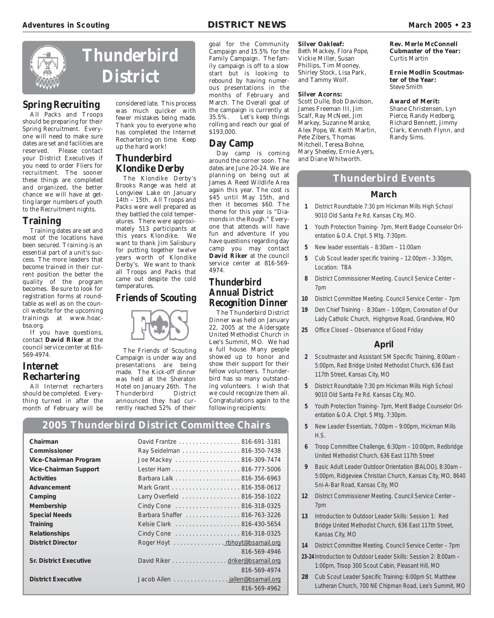

# **Thunderbird District**

#### **Spring Recruiting**

All Packs and Troops should be preparing for their Spring Recruitment. Everyone will need to make sure dates are set and facilities are reserved. Please contact your District Executives if you need to order Fliers for recruitment. The sooner these things are completed and organized, the better chance we will have at getting larger numbers of youth to the Recruitment nights.

#### **Training**

Training dates are set and most of the locations have been secured. Training is an essential part of a unit's success. The more leaders that become trained in their current position the better the quality of the program becomes. Be sure to look for registration forms at roundtable as well as on the council website for the upcoming trainings at www.hoacbsa.org.

If you have questions, contact **David Riker** at the council service center at 816- 569-4974.

#### **Internet Rechartering**

All Internet recharters should be completed. Everything turned in after the month of February will be

#### considered late. This process was much quicker with fewer mistakes being made. Thank you to everyone who has completed the Internet Rechartering on time. Keep up the hard work!

#### **Thunderbird Klondike Derby**

The Klondike Derby's Brooks Range was held at Longview Lake on January 14th – 15th. All Troops and Packs were well prepared as they battled the cold temperatures. There were approximately 513 participants at this years Klondike. We want to thank Jim Salisbury for putting together twelve years worth of Klondike Derby's. We want to thank all Troops and Packs that came out despite the cold temperatures.

#### **Friends of Scouting**



The Friends of Scouting Campaign is under way and presentations are being made. The Kick-off dinner was held at the Sheraton Hotel on January 26th. The<br>Thunderbird District Thunderbird announced they had currently reached 52% of their

goal for the Community Campaign and 15.5% for the Family Campaign. The family campaign is off to a slow start but is looking to rebound by having numerous presentations in the months of February and March. The Overall goal of the campaign is currently at 35.5%. Let's keep things rolling and reach our goal of \$193,000.

#### **Day Camp**

 $Day$  camp is coming around the corner soon. The dates are June 20-24. We are planning on being out at James A Reed Wildlife Area again this year. The cost is \$45 until May 15th, and then it becomes \$60. The theme for this year is "Diamonds in the Rough." Everyone that attends will have fun and adventure. If you have questions regarding day camp you may contact **David Riker** at the council service center at 816-569- 4974.

#### **Thunderbird Annual District Recognition Dinner**

The Thunderbird District Dinner was held on January 22, 2005 at the Aldersgate United Methodist Church in Lee's Summit, MO. We had a full house. Many people showed up to honor and show their support for their fellow volunteers. Thunderbird has so many outstanding volunteers. I wish that we could recognize them all. Congratulations again to the following recipients:

# **2005 Thunderbird District Committee Chairs**

| Chairman                      | David Frantze 816-691-3181     |              |
|-------------------------------|--------------------------------|--------------|
| Commissioner                  | Ray Seidelman 816-350-7438     |              |
| Vice-Chairman Program         | Joe Mackey 816-309-7474        |              |
| <b>Vice-Chairman Support</b>  |                                |              |
| <b>Activities</b>             | Barbara Lalk 816-356-6963      |              |
| Advancement                   |                                |              |
| Camping                       | Larry Overfield 816-358-1022   |              |
| Membership                    | Cindy Cone 816-318-0325        |              |
| <b>Special Needs</b>          | Barbara Shaffer 816-763-3226   |              |
| <b>Training</b>               | Kelsie Clark 816-430-5654      |              |
| <b>Relationships</b>          | Cindy Cone 816-318-0325        |              |
| <b>District Director</b>      | Roger Hoyt rbhoyt@bsamail.org  |              |
|                               |                                | 816-569-4946 |
| <b>Sr. District Executive</b> | David Riker driker@bsamail.org |              |
|                               |                                | 816-569-4974 |
| <b>District Executive</b>     | Jacob Allen jallen@bsamail.org |              |
|                               |                                | 816-569-4962 |

#### **Silver Oakleaf:**

Beth Mackey, Flora Pope, Vickie Miller, Susan Phillips, Tim Mooney, Shirley Stock, Lisa Park, and Tammy Wolf.

#### **Silver Acorns:**

Scott Dulle, Bob Davidson, James Freeman III, Jim Scalf, Ray McNeel, Jim Markey, Suzanne Marske, Alex Pope, W. Keith Martin, Pete Zibers, Thomas Mitchell, Teresa Bohne, Mary Sheeley, Ernie Ayers, and Diane Whitworth.

**Rev. Merle McConnell Cubmaster of the Year:** Curtis Martin

**Ernie Modlin Scoutmaster of the Year:** Steve Smith

#### **Award of Merit:**

Shane Christensen, Lyn Pierce, Randy Hedberg, Richard Bennett, Jimmy Clark, Kenneth Flynn, and Randy Sims.

#### **Thunderbird Events**

#### **March**

- **1** District Roundtable 7:30 pm Hickman Mills High School 9010 Old Santa Fe Rd. Kansas City, MO.
- **1** Youth Protection Training- 7pm, Merit Badge Counselor Orientation & O.A. Chpt. 5 Mtg. 7:30pm.
- **5** New leader essentials 8:30am 11:00am
- **5** Cub Scout leader specific training 12:00pm 3:30pm, Location: TBA
- **8** District Commissioner Meeting. Council Service Center 7pm
- **10** District Committee Meeting. Council Service Center 7pm
- **19** Den Chief Training 8:30am 1:00pm, Coronation of Our Lady Catholic Church, Highgrove Road, Grandview, MO
- **25** Office Closed Observance of Good Friday

#### **April**

- **2** Scoutmaster and Assistant SM Specific Training, 8:00am 5:00pm, Red Bridge United Methodist Church, 636 East 117th Street, Kansas City, MO
- **5** District Roundtable 7:30 pm Hickman Mills High School 9010 Old Santa Fe Rd. Kansas City, MO.
- **5** Youth Protection Training- 7pm, Merit Badge Counselor Orientation & O.A. Chpt. 5 Mtg. 7:30pm.
- **5** New Leader Essentials, 7:00pm 9:00pm, Hickman Mills H.S.
- **6** Troop Committee Challenge, 6:30pm 10:00pm, Redbridge United Methodist Church, 636 East 117th Street
- **9** Basic Adult Leader Outdoor Orientation (BALOO), 8:30am 5:00pm, Ridgeview Christian Church, Kansas City, MO, 8640 Sni-A-Bar Road, Kansas City, MO
- **12** District Commissioner Meeting. Council Service Center 7pm
- **13** Introduction to Outdoor Leader Skills: Session 1: Red Bridge United Methodist Church, 636 East 117th Street, Kansas City, MO
- **14** District Committee Meeting. Council Service Center 7pm
- **23-24** Introduction to Outdoor Leader Skills: Session 2: 8:00am 1:00pm, Troop 300 Scout Cabin, Pleasant Hill, MO
- **28** Cub Scout Leader Specific Training: 6:00pm St. Matthew Lutheran Church, 700 NE Chipman Road, Lee's Summit, MO